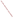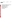

United States Prevention, Pesticides EPA 739-R-08-005 Environmental Protection and Toxic Substances June 2008 Agency (7510P)

Reregistration Eligibility Decision for the Tributyltin Compounds: Bis(tributyltin) oxide, Tributyltin benzoate, and Tributyltin maleate (Case 2620)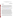#### **UNITED STATES ENVIRONMENTAL PROTECTION AGENCY** WASHINGTON, D.C. 20460

## OFFICE OF PREVENTION, PESTICIDES AND TOXIC SUBSTANCES

#### **CERTIFIED MAIL**

Dear Registrant:

 This is to inform you that the Environmental Protection Agency (hereafter referred to as EPA or the Agency) has completed its review of the available data and public comments received related to the preliminary risk assessments for the antimicrobial tributyltin derivatives, (bis)tributyltin oxide, tributyltin benzoate, and tributyltin maleate (collectively known as "tributyltin" or "TBT"). Based on its review, EPA is now releasing its Reregistration Eligibility Decision (RED) and risk management decision for tributyltin. The enclosed Reregistration Eligibility Decision (RED) document was approved on June 30, 2008.

 A Notice of Availability will be published in the *Federal Register* announcing the release of the RED. The RED and supporting risk assessments for tributyltin are available to the public on the U.S. Federal Government website [www.regulations.gov.](http://www.regulations.gov/) The docket is EPA-HQ-OPP-2008-0171.

The tributyltin RED was developed through EPA's public participation process, described in the Federal Register on September 10, 2004, which provides opportunities for public involvement in the Agency's pesticide tolerance reassessment and reregistration programs. Developed in partnership with USDA and with input from EPA's advisory committees and others, the public participation process encourages robust public involvement starting early and continuing throughout the pesticide risk assessment and risk mitigation decision making process. The Agency tailors the public participation process to the level of refinement of the risk assessments, as well as to the amount of use, risk, public concern, and complexity associated with each pesticide. Using the public participation process, EPA is attaining its strong commitment to both involve the public and meet statutory deadlines. The public participation process for the TBT RED provided for the consideration of public comment on the preliminary risk assessments and ideas for risk mitigation. The Agency has now revised the assessments based on substantive comments submitted during the public comment period, or otherwise addressed such comments in a response to comments document. No comments were submitted on ideas for risk mitigation, but the Agency has provided additional opportunity for discussion with the registrants on risk mitigation measures proposed by the Agency.

Please note that the tributyltin risk assessments and the enclosed RED document concern only this particular pesticide. This RED presents the Agency's conclusions on the dietary, drinking water, occupational, residential and ecological risks posed by exposure to TBT alone. This document also identifies both generic and product-specific data that the Agency intends to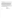require via Data Call-In Notices (DCIs). The DCIs and instructions for responding will be sent to registrants at a later date.

The Agency has determined that most tributyltin uses will be eligible for reregistration provided that all the conditions identified in this document are satisfied. The Agency has determined that some uses of tributyltin are not eligible for reregistration, based on a consideration of the risks and benefits associated with those uses and the adequacy of the database supporting them. Sections IV and V of this RED document explain the eligibility decision for each use, and for those uses that are eligible, describe the necessary labeling amendments and data requirements. Instructions for registrants on submitting the revised labeling will accompany the product-specific DCI associated with this RED.

If you have questions on this document or the label changes relevant to this reregistration decision, please contact the Chemical Review Manager, Jill Bloom, at (703) 308-8019. For questions about product reregistration and/or the Product DCI that will follow this document, please contact Marshall Swindell at (703) 308-6341.

Sincerely. Frank T. Sanders

Director, Antimicrobials Division

Enclosure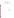## **REREGISTRATION ELIGIBILITY DECISION**

**for the Tributyltin Compounds:** 

## **Bis(tributyltin) oxide, Tributyltin benzoate, and Tributyltin maleate**

List D--CASE 2620

Approved By:

 Frank T. Sanders Director, Antimicrobials Division June 30, 2008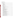# **TABLE OF CONTENTS**

| I.              |               |  |
|-----------------|---------------|--|
| П.              |               |  |
| A.              |               |  |
| <b>B.</b>       |               |  |
| $\mathcal{C}$ . |               |  |
| D.              |               |  |
| 1.              |               |  |
| 2.              |               |  |
| Ш.              |               |  |
| $A_{\cdot}$     |               |  |
|                 | 1.            |  |
|                 | a)            |  |
|                 | b)            |  |
|                 | $\mathbf{c})$ |  |
|                 | d)            |  |
| 2.              |               |  |
| 3.              |               |  |
|                 | a)            |  |
|                 | b)            |  |
| 4.              |               |  |
|                 | a)            |  |
|                 | b)            |  |
|                 | $\mathbf{c})$ |  |
| 5.              |               |  |
| 6.              |               |  |
| 7.              |               |  |
|                 | a)            |  |
|                 | b)            |  |
|                 | $\mathbf{c})$ |  |
| <b>B.</b>       |               |  |
|                 |               |  |
| 1.              |               |  |
|                 | a)            |  |
|                 | b)            |  |
|                 | $\mathbf{c})$ |  |
|                 | d)            |  |
|                 | e)            |  |
|                 | f)            |  |
| 2.              |               |  |
| 3.              |               |  |
| C.              |               |  |
| D.              |               |  |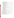| E.                                                                         |  |
|----------------------------------------------------------------------------|--|
| IV.                                                                        |  |
| A.                                                                         |  |
| <b>B.</b>                                                                  |  |
| C.                                                                         |  |
| 1.                                                                         |  |
| a)                                                                         |  |
| b)                                                                         |  |
| $\mathbf{c})$                                                              |  |
|                                                                            |  |
| d)                                                                         |  |
| e)                                                                         |  |
| f)                                                                         |  |
| 2.                                                                         |  |
| a)                                                                         |  |
| b)                                                                         |  |
| $\mathbf{c})$                                                              |  |
| d)                                                                         |  |
| e)                                                                         |  |
| f)                                                                         |  |
| 3.                                                                         |  |
| 4.                                                                         |  |
| 5.                                                                         |  |
| V.                                                                         |  |
| A.                                                                         |  |
| 1.                                                                         |  |
| 2.                                                                         |  |
| <b>B.</b>                                                                  |  |
| 1.                                                                         |  |
| 2.                                                                         |  |
| 3.                                                                         |  |
|                                                                            |  |
|                                                                            |  |
| Appendix B. Generic Data and Studies Used for the Reregistration Decision2 |  |
|                                                                            |  |
|                                                                            |  |
|                                                                            |  |
|                                                                            |  |
|                                                                            |  |
|                                                                            |  |
|                                                                            |  |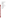## <span id="page-7-0"></span>**Tributyltin Reregistration Team**

Health Effects Risk Assessment Cassi Walls, Ph.D. Talia Lindheimer Timothy Leighton Michelle Centra Jonathon Chen Yung Yang, Ph.D.

Ecological Risk Assessment William Erickson, Ph.D.

Environmental Fate Risk Assessment James Breithaupt Siroos Mostaghimi, Ph.D.

Registration Support Marshall Swindell

Risk Management Jill Bloom Diane Isbell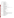# <span id="page-8-0"></span>**Glossary of Terms and Abbreviations**

| a.i., ai      | Active Ingredient                                                                                 |
|---------------|---------------------------------------------------------------------------------------------------|
| aPAD          | <b>Acute Population Adjusted Dose</b>                                                             |
| <b>APHIS</b>  | Animal and Plant Health Inspection Service                                                        |
| <b>ARTF</b>   | <b>Agricultural Re-entry Task Force</b>                                                           |
| <b>BCF</b>    | <b>Bioconcentration Factor</b>                                                                    |
|               |                                                                                                   |
| <b>CDC</b>    | <b>Centers for Disease Control</b>                                                                |
| <b>CDPR</b>   | California Department of Pesticide Regulation                                                     |
| <b>CFR</b>    | Code of Federal Regulations                                                                       |
| ChEI          | Cholinesterase Inhibition                                                                         |
| cPAD          | Chronic Population Adjusted Dose                                                                  |
| <b>CSFII</b>  | USDA Continuing Surveys for Food Intake by Individuals                                            |
| <b>CWS</b>    | <b>Community Water System</b>                                                                     |
| <b>DCI</b>    | Data Call-In                                                                                      |
| <b>DEEM</b>   | Dietary Exposure Evaluation Model                                                                 |
| DL            | Double layer clothing {i.e., coveralls over SL}                                                   |
| <b>DWLOC</b>  | Drinking Water Level of Comparison                                                                |
| EC            | <b>Emulsifiable Concentrate Formulation</b>                                                       |
| <b>EDSP</b>   | <b>Endocrine Disruptor Screening Program</b>                                                      |
| <b>EDSTAC</b> | Endocrine Disruptor Screening and Testing Advisory Committee                                      |
| <b>EEC</b>    | Estimated Environmental Concentration--the estimated pesticide concentration in an environment,   |
|               | such as a terrestrial ecosystem.                                                                  |
| EP            | End-Use Product                                                                                   |
| <b>EPA</b>    | U.S. Environmental Protection Agency                                                              |
| <b>EXAMS</b>  |                                                                                                   |
|               | Tier II Surface Water Computer Model                                                              |
| <b>FDA</b>    | Food and Drug Administration                                                                      |
| <b>FFDCA</b>  | Federal Food, Drug, and Cosmetic Act                                                              |
| <b>FIFRA</b>  | Federal Insecticide, Fungicide, and Rodenticide Act                                               |
| <b>FOB</b>    | <b>Functional Observation Battery</b>                                                             |
| FQPA          | Food Quality Protection Act                                                                       |
| FR            | <b>Federal Register</b>                                                                           |
| GL            | With gloves                                                                                       |
| <b>GPS</b>    | Global Positioning System                                                                         |
| <b>HIARC</b>  | Hazard Identification Assessment Review Committee                                                 |
| <b>IDFS</b>   | Incident Data System                                                                              |
| <b>IGR</b>    | <b>Insect Growth Regulator</b>                                                                    |
| <b>IPM</b>    | <b>Integrated Pest Management</b>                                                                 |
| <b>RED</b>    | Reregistration Eligibility Decision                                                               |
| <b>LADD</b>   | Lifetime Average Daily Dose                                                                       |
| $LC_{50}$     | Median Lethal Concentration. Statistically derived concentration of a substance expected to cause |
|               | death in 50% of test animals, usually expressed as the weight of substance per weight or volume   |
|               | of water, air or feed, e.g., mg/l, mg/kg or ppm.                                                  |
| <b>LCO</b>    | Lawn Care Operator                                                                                |
| $LD_{50}$     | Median Lethal Dose. Statistically derived single dose causing death in 50% of the test animals    |
|               | when administered by the route indicated (oral, dermal, inhalation), expressed as a weight of     |
|               | substance per unit weight of animal, e.g., mg/kg.                                                 |
|               |                                                                                                   |
| LOAEC         | Lowest Observed Adverse Effect Concentration                                                      |
| <b>LOAEL</b>  | Lowest Observed Adverse Effect Level                                                              |
| LOC           | Level of Concern                                                                                  |
| <b>LOEC</b>   | <b>Lowest Observed Effect Concentration</b>                                                       |
| mg/kg/day     | Milligram Per Kilogram Per Day                                                                    |
| <b>MOE</b>    | Margin of Exposure                                                                                |
| MP            | Manufacturing-Use Product                                                                         |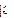|          | MRL             |
|----------|-----------------|
|          | N/A             |
|          | <b>NASS</b>     |
|          | <b>NAWQA</b>    |
|          | NG              |
|          | <b>NMFS</b>     |
|          | <b>NOAEC</b>    |
|          | <b>NOAEL</b>    |
|          |                 |
|          | <b>NPIC</b>     |
|          | <b>NR</b>       |
|          | <b>OP</b>       |
|          | <b>OPP</b>      |
|          | <b>ORETF</b>    |
|          | <b>PAD</b>      |
|          | <b>PCA</b>      |
|          | <b>PDCI</b>     |
|          | <b>PDP</b>      |
|          | <b>PF10</b>     |
|          | PF <sub>5</sub> |
|          | <b>PHED</b>     |
|          | PHI             |
|          |                 |
|          | ppb             |
|          | <b>PPE</b>      |
|          | <b>PRZM</b>     |
|          | <b>RBC</b>      |
|          | <b>RED</b>      |
|          | <b>REI</b>      |
|          | <b>RfD</b>      |
|          | <b>RPA</b>      |
|          | <b>RPM</b>      |
|          | <b>RQ</b>       |
|          | <b>RTU</b>      |
|          | <b>RUP</b>      |
|          | <b>SCI-GRO</b>  |
|          | SF              |
|          |                 |
|          | SL              |
|          | <b>SLN</b>      |
|          | <b>STORET</b>   |
|          | <b>TEP</b>      |
|          | <b>TGAI</b>     |
|          | TRAC            |
|          | <b>TTRS</b>     |
|          | UF              |
|          | <b>USDA</b>     |
| E        | <b>USFWS</b>    |
|          | <b>USGS</b>     |
|          | <b>WPS</b>      |
| 윤        |                 |
|          |                 |
|          |                 |
| <b>ທ</b> |                 |
|          |                 |
|          |                 |

| MRID            | Master Record Identification (number)--EPA's system of recording and tracking studies<br>submitted. |
|-----------------|-----------------------------------------------------------------------------------------------------|
| MRL             | Maximum Residue Level                                                                               |
| N/A             | Not Applicable                                                                                      |
| NASS            | National Agricultural Statistical Service                                                           |
| NAWQA           | <b>USGS National Water Quality Assessment</b>                                                       |
| NG              | No Gloves                                                                                           |
| NMFS            | National Marine Fisheries Service                                                                   |
| NOAEC           | No Observed Adverse Effect Concentration                                                            |
| NOAEL           | No Observed Adverse Effect Level                                                                    |
| NPIC            | National Pesticide Information Center                                                               |
| NR              | No respirator                                                                                       |
| OP              | Organophosphate                                                                                     |
| OPP             | EPA Office of Pesticide Programs                                                                    |
| ORETF           | <b>Outdoor Residential Exposure Task Force</b>                                                      |
| PAD             | Population Adjusted Dose                                                                            |
| PCA             | Percent Crop Area                                                                                   |
| PDCI            | Product Specific Data Call-In                                                                       |
| PDP             | <b>USDA Pesticide Data Program</b>                                                                  |
| PF10            | Protections factor 10 respirator                                                                    |
| PF5             | Protection factor 5 respirator                                                                      |
| PHED            | Pesticide Handler's Exposure Data                                                                   |
| PHI             | Pre-harvest Interval                                                                                |
| ppb             | Parts Per Billion                                                                                   |
| PPE             | Personal Protective Equipment                                                                       |
| PRZM            | Pesticide Root Zone Model                                                                           |
| RBC             | Red Blood Cell                                                                                      |
| RED             | Reregistration Eligibility Decision                                                                 |
| REI             | <b>Restricted Entry Interval</b>                                                                    |
| RfD             | Reference Dose                                                                                      |
| RPA             | <b>Reasonable and Prudent Alternatives</b>                                                          |
| RPM             | Reasonable and Prudent Measures                                                                     |
| RQ              | <b>Risk Quotient</b>                                                                                |
| RTU             | (Ready-to-use)                                                                                      |
| RUP             | <b>Restricted Use Pesticide</b>                                                                     |
| <b>SCI-GROW</b> | Tier I Ground Water Computer Model                                                                  |
| SF              | <b>Safety Factor</b>                                                                                |
| SL              | Single layer clothing                                                                               |
| SLN             | Special Local Need (Registrations under Section 24c of FIFRA)                                       |
| STORET          | Storage and Retrieval                                                                               |
| TEP             | <b>Typical End-Use Product</b>                                                                      |
| TGAI            | <b>Technical Grade Active Ingredient</b>                                                            |
| TRAC            | Tolerance Reassessment Advisory Committee                                                           |
| TTRS            | <b>Transferable Turf Residues</b>                                                                   |
| UF              | <b>Uncertainty Factor</b>                                                                           |
| <b>USDA</b>     | United States Department of Agriculture                                                             |
| USFWS           | United States Fish and Wildlife Service                                                             |
| USGS            | United States Geological Survey                                                                     |
| WPS             | <b>Worker Protection Standard</b>                                                                   |
|                 |                                                                                                     |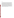#### <span id="page-10-0"></span>**Abstract**

 The Environmental Protection Agency (EPA or the Agency) has completed the human health and environmental risk assessments for bis(tributyltin) oxide, tributyltin benzoate, and tributyltin maleate (collectively, "tributyltin" or "TBT") and is issuing its risk management decision. The risk assessments, which are summarized below, are based on review of registrantsubmitted data supporting the use patterns of currently registered products, citations from the open literature, and additional information received through the public docket. The risk assessments have been revised, as needed, according to information received since they were first made available to the public in April 2008. After considering the risk assessments, available information about alternatives to TBT for specific uses, public comments, and risk mitigation options, the Agency developed its risk management decision for uses of tributyltin. As a result of this review, EPA has determined that some uses of tributyltin are eligible for reregistration, provided that the prescribed risk mitigation measures are adopted and labels are amended accordingly, and required data are submitted. Other uses are not eligible for reregistration, based on a combination of critical data gaps and unacceptable risks. The decision and the associated risk mitigation measures are discussed fully in this document.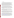#### <span id="page-11-0"></span>**I. Introduction**

 The Federal Insecticide, Fungicide, and Rodenticide Act (FIFRA) was amended in 1988 to accelerate the reregistration of products with active ingredients registered prior to November 1, 1984, and amended again by the Pesticide Registration Improvement Act of 2003 to set time frames for the issuance of Reregistration Eligibility Decisions. The amended Act calls for the development and submission of data to support the reregistration of an active ingredient, as well as a review of all submitted data by the U.S. Environmental Protection Agency (EPA or the Agency). Reregistration involves a thorough review of the scientific database underlying a pesticide's registration. The purpose of the Agency's review is to reassess the potential hazards arising from the currently registered uses of the pesticide; to determine the need for additional data on health and environmental effects; and to determine whether or not the pesticide meets the "no unreasonable adverse effects" criteria of FIFRA.

 This document presents the Agency's revised human health and ecological risk assessments and the Reregistration Eligibility Decision (RED) for tributyltin. The tributyltin case consists of three active ingredients: bis(tributyltin) oxide (PC code 083001), tributyltin benzoate (083106), and tributyltin maleate (083118). There are currently 35 registered products and two pending registrations containing these three active ingredients. There are no pesticide inert uses for any of the three TBT compounds. The first pesticide product containing tributyltin was registered in 1961.

 The tributyltin compounds act as fungicides, disinfectants, microbiocides, and microbiostats. They are used in water cooling towers, wood preservatives, hard surface disinfectants for farm premises; as materials preservatives in textiles, carpet backing, sponges, rope, fiberfill, foam, paper, and building materials (e.g., drywall, joint compound, grout); metal working fluids; and petrochemical injection fluids.

 Some of the labeled uses for the tributyltin-containing chemicals have the potential to result in direct or indirect food exposures or other residential exposures that may impact children. Based on published literature studies on the immunotoxicity of tributyltin oxide and uncertainties surrounding the endpoint, the Agency believes that application of a database uncertainty factor is warranted. A database uncertainty factor of 10X has been applied to the endpoint dose  $(BMD_{10} =$ 0.03 mg/kg/day) selected for the residential exposure scenarios.

This document presents the Agency's decision regarding the reregistration eligibility of the registered uses of tributyltin. It includes summary information derived from the more detailed risk assessments that serve as support documents for the RED. The risk assessments are not provided as attachments to this document, but are available in the Public Docket at [www.regulations.gov](http://www.epa.gov/edocket) (Docket ID #EPA-HQ-OPP-2008-0171). To access these documents on the electronic docket, go to [www.regulations.gov.](http://www.epa.gov/edocket) Select advanced docket search (right side of page). For Docket ID, enter OPP-2008-0171 and then submit (bottom of page). Double-click on the blue underlined Docket number for a listing of all the documents in that docket. Support documents can also be obtained by request from the Office of Pesticide Programs Regulatory Public Docket. The Docket Facility telephone number is (703) 305–5805.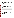<span id="page-12-0"></span>This document consists of six sections. Section I is the Introduction. Section II provides a chemical overview, a profile of the use of the tributyltin compounds, and their regulatory history. Section III gives a summary of the human health and environmental risk assessments for tributyltin. Section IV presents the reregistration eligibility decision and describes the risk management approach for TBT. Section V details the changes needed to product labels to implement the risk mitigation measures outlined in Section IV, and the data required to support the eligible uses of TBT. Finally, the Appendices list all use patterns eligible for reregistration, bibliographic information, related documents and how to access them, and Data Call-In (DCI) information. **II. Chemical Overview** 

# **A. Regulatory History**

The tributyltin case consists of three compounds: bis(tributyltin) oxide (PC code 083001), tributyltin benzoate (083106), and tributyltin maleate (083118). There are no inert uses of TBT in pesticides. Table I show the number of registrations associated with each active ingredient.

| <b>Table 1. INDIRIGE OF ACTIVE AND I CHUILLY INCRES LATER IN THE TABLE</b> |                                   |                         |         |  |  |
|----------------------------------------------------------------------------|-----------------------------------|-------------------------|---------|--|--|
| <b>Active ingredient</b>                                                   | <b>Manufacturing-use Products</b> | <b>End-use Products</b> | Pending |  |  |
| bis(tributyltin) oxide                                                     |                                   |                         |         |  |  |
| tributyltin benzoate                                                       |                                   |                         |         |  |  |
| tributyltin maleate                                                        |                                   |                         |         |  |  |

**Table 1. Number of Active and Pending Registrations for TBT AIs** 

The first pesticides containing tributyltin were registered in the 1960s, for use in antifouling paints. Adverse ecological effects associated with TBT antifouling paints captured global attention in the 1980s. In 2005, the Agency implemented the cancellation of last TBT registration for ship hull antifouling. An international treaty prohibiting the use of TBT hull coatings becomes effective in September 2008.

 The three existing tributyltin active ingredients serve as fungicides, disinfectants, microbiocides, and microbiostats in a number of commercial and residential applications. They are used in water cooling towers, wood preservatives, hard surface disinfectants for farm premises; as materials preservatives in textiles, carpet backing, sponges, rope, fiberfill, foam, paper, and building materials (e.g., drywall, joint compound, grout); metal working fluids; and petrochemical injection fluids.

## **B. Chemical Identification**

bis(tributyltin) oxide (TBTO) tributyltin benzoate (TBTB) tributyltin maleate (TBTM)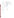<span id="page-13-0"></span>

| <b>Chemical Names:</b>      | TBTO-hexabutyldistannoxane                          |
|-----------------------------|-----------------------------------------------------|
|                             | TBTB--stannane, (benzoyloxy)tributyl-               |
|                             | TBTM--stannane, tributyl(3-carboxyacryloyl)oxy      |
| <b>CAS Registry Number:</b> | TBTO-56-35-9                                        |
|                             | TBTB-4342-36-3                                      |
|                             | TBTM--4027-18-3 ("mono" form; incorrectly cited by  |
|                             | some sources as 4275-57-1, which is the "bis" form) |
| <b>Molecular Formula:</b>   | $TBTO--C24H54OSn2$                                  |
|                             | $TBTB-C_{19}H_{32}O_2Sn$                            |
|                             | $TBTM-C_{16}H_{30}O_4Sn$                            |
| Highest % ai in EUP:        | TBTO-29%                                            |
|                             | TBTB-45.5%                                          |
|                             | $TBTM-25%$                                          |
|                             |                                                     |

# **C. Chemical Structures**

TBTO TBTB





TBTM

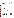| <b>Property</b>                   | <b>TBTO</b>           | <b>TBTB</b>            | <b>TBTM</b>            |
|-----------------------------------|-----------------------|------------------------|------------------------|
| Molecular Weight                  | 596.12                | 411.18                 | 405.13                 |
| <b>Boiling Point</b>              | 417 C                 | 390 C                  | 415 C                  |
| <b>Melting Point</b>              | 132 C                 | 128 C                  | 153 C                  |
| Vapor Pressure @ 25 C,<br>$mm$ Hg | $7.8 \times 10^{-06}$ | $1.34 \times 10^{-06}$ | $1.74 \times 10^{-07}$ |
| $Log K_{ow}$                      | 3.84                  | 4.69                   | 3.79                   |
| $Log K_{oc}$                      | 7.57                  | 5.10                   | 2.99                   |
| Solubility in water, mg/L         | 0.0896                | 0.257                  | 4.086                  |
| Half-life in water                | 2.49 hrs              | 2.172 hrs              | 343.5 days             |
| Half-life in air                  | $0.125$ days          | $0.241$ days           | 25 <sub>hr</sub>       |

<span id="page-14-0"></span>**Table 2. Chemical Properties of TBT Compounds** 

#### **D. Use Profile**

Detailed information on TBT use sites and applications can be found in Appendix A.

#### **1. Type of Pesticide**

Fungicide, disinfectant, algicide, microbiocide, microbiostat.

#### **2. Use Sites**

#### *Cooling towers*

 TBTO may be added to cooling tower water to prevent the build-up of biomass that can interfere with the cooling function. TBTO may be used in industrial and commercial recirculating cooling water towers, open recirculating cooling systems, air conditioning unit cooling towers atop commercial buildings, and evaporative condensers. The biocide may be added to cooling water with a metering pump or by drip-feed or open-pouring. Concentrations of salts in the cooling water (which increase with time) dictate when water is discharged and when new biocide is added. Cooling water additives containing TBT are labeled to show their pesticide content.

#### *Wood preservatives*

 TBTO is used to formulate paint, stains, and waterproofing to be applied to decks, shingles, shakes, wood siding, fences, railings, floors, outdoor furniture, structural lumber, beams, timber, sills, millwork, roofs, trim, clapboards, plywood, porches, and greenhouses. These coatings serve as wood preservatives to discourage the growth of microorganisms that cause degradation of the wood. Some product labels indicate that the TBTO biocides must not be used in interior paints or coatings, based on earlier reports of adverse effects associated with residential exposure to TBTO in interior paint and the absence of data to allow the Agency to develop a quantitative risk assessment.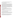Wood preservatives may be applied via brushes, rollers, mops, spray equipment, or airless sprayers. Coatings containing TBTO are typically applied to exterior wood once every several years. These coatings are labeled to show that they contain TBT.

#### *Hard surface disinfectant for farm premises*

 One product containing TBTO is used in a number of farm settings. TBTO is used for disinfecting housing for livestock, kennels, veterinary clinics, and animal laboratories and breeding facilities. The product is also used in poultry houses, hatcheries, incubators, egg rooms, egg trucks, and other farm vehicles, and on ventilation equipment, utensils, and ropes. It can also be used to decontaminate tools and tack via immersion, and in boot baths. This product may be applied to hard surfaces with a brush, wipe, or mop, or with a sprayer, hand-held fogger, thermal fogger, or automated fogger. TBTO may be applied as frequently as once a day in incubators with eggs present. Directions for use indicate that animals must be removed from the premises prior to treatment and for up to two days after treatment, although use directions also indicate that inter-depopulation treatments may be made to pens, hutches, etc. The disinfectant is not rinsed or removed from treated surfaces, except for feeding and watering equipment that is present during treatment. The disinfectant is labeled to show its TBTO content.

#### *Materials preservatives in building materials*

 TBTO, TBTB, and TBTM are added to building materials to protect the materials themselves from microbial degradation. These building materials include drywall, joint compound, and medium density fiber board, and particulate board. TBT may also be used to preserve building material adhesives and adhesives for other manufacturing uses, including cardboard box production.

 TBT additives are combined with these materials during the manufacturing process. Materials treated with TBT preservatives are not labeled to show that they contain TBT.

#### *Materials preservatives in textile, paper, and related uses*

 TBTO and TBTM are used by textile manufacturers in industrial settings to produce fabrics that are resistant to growth and staining by microorganisms, particularly mildew. While these products are "materials preservatives," the materials they are used to treat (such as fiberfill, foam, rope, and paper) are being considered separately from materials preservatives used in building materials.

 Laundry and clothing treatments with TBT reportedly are not supported by any formulator, but fabrics treated with TBT may be used for mattress pads and ticking, pillow ticking, cushions for outdoor furniture, canvas and other fabrics for outdoor uses (e.g., tents, tarps, awnings), and webbing (used with golf driving range protective netting, netting for baseball batting cages, and tennis nets). Nylon rope may also be treated.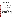In addition, TBT is used to protect sponges and sponge mop heads. Sponges typically are sold in a damp state so they will remain absorbent until used, and treatment with TBT prevents the growth of mold and mildew on the sponge in its original packaging.

 TBT may also be used in rubber floor mats, carpet backing, fiberfill, polyurethane foam used in furniture, and air filters for heaters and air conditioners. It is not used to treat carpet face fibers.

 Fabric may be treated with a coating (e.g., a polyvinyl coating) containing TBT. Ingredients for the coating are cold-mixed and then applied to fabric or carpet backing with a knife applicator: fabric is unwound from a feed roll onto a conveyor belt that passes the fabric beneath a coating dispenser and then past a blade that distributes the coating evenly and presses it into the weave. Fabrics may also be treated by an "exhaust" process in which fabric is soaked in a liquid bath containing diluted TBT product and then dried. TBT applied in this manner is dispersed throughout the fabric, rather than retained on the surface.

 In the production of polyurethane foam, TBT is added to the other reactants in a "one shot" process. Similarly, TBT is added with other components during the manufacture of rubber and plastic. For fiberfill, TBT is co-applied with a silicone slip coating.

 TBT products registered for use in paper bear labeling warning that such products may not be used in paper for direct or indirect food contact.

 Textiles, paper, and related materials treated with TBT products are not labeled to show their TBT content.

#### *Miscellaneous uses*

 TBT products also may be used in petrochemical injection applications, added to metal working fluids, incorporated into irrigation tubing for non-agricultural applications, incorporated into the rubber used to form sonar domes, and in antifoulant devices used in instruments deployed for monitoring oceanographic conditions. TBT additives for metal working fluids and petrochemical injection materials are labeled with their TBT content, as are the antifoulant devices used in oceanographic instruments. TBT for metal working fluids and petrochemical injection is added at the job site. Sonar domes are made from rubber impregnated with TBTO, while the antifoulant devices for oceanographic instruments are packaged separately from the conductivity sensors themselves and are installed without the opportunity for human contact. Metal working and petrochemical injection fluids to which the TBT materials preservatives have been added would not be labeled as containing TBT; neither would irrigation tubing or sonar domes. Packaging for the oceanographic antifoulant devices shows the TBT content of the devices.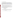#### <span id="page-17-0"></span>**III. Summary of Risk Assessments**

 The purpose of this summary is to assist the reader by identifying the key features and findings of the risk assessments and to help the reader better understand the Agency's determination of reregistration eligibility. The human health and ecological risk assessment documents and supporting information are listed in Appendix C. As indicated earlier, to access these documents within the public docket, go to [www.regulations.gov.](http://www.epa.gov/edocket) Select advanced docket search (right side of page). For Docket ID, enter OPP-2008-0171 and then submit (bottom of page). Double-click on the blue underlined Docket number for a listing of all the documents in that docket.

 These documents also may be found in the OPP Public Docket which is located in Room S-4400, One Potomac Yard, 2777 South Crystal Drive, Arlington, VA. The docket is open Monday through Friday, excluding Federal holidays, from 8:30 a.m.to 4:00 p.m.

The Agency's use of human studies in the TBT human health risk assessment is limited to those studies incorporated into the PHED and similar databases, and is in accordance with the Agency's Final Rule promulgated on January 26, 2006, related to Protections for Subjects in Human Research, which is codified in 40 CFR Part 26.

## **A. Human Health Risk Assessment**

#### **1. Hazard profile**

 A detailed toxicology assessment for the tributyltin containing compounds is available from the docket. A summary of the key toxicological studies is presented in Appendix B.

#### **a) Acute toxicity**

Acute toxicity for the TBT containing-compounds is summarized in Table 3.

.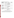| <b>Guideline Number</b>       |                    |                                   | <b>Toxicity</b> |  |
|-------------------------------|--------------------|-----------------------------------|-----------------|--|
| <b>Study Type</b>             | <b>MRID</b> $#(s)$ | <b>Results</b>                    | Category        |  |
| <b>Tributyltin Oxide</b>      |                    |                                   |                 |  |
| $870.1100$ Acute Oral – Rat   | 00085004,          | $LD_{50} = 180$ mg/kg (males)     | $\mathbf{I}$    |  |
|                               | 92172013           | $LD_{50} = 150$ mg/kg (females)   |                 |  |
|                               |                    | $LD_{50} = 170$ mg/kg (combined)  |                 |  |
| $870.1100$ Acute Oral – Rat   | 00085003,          | $LD_{50} = 193$ mg/kg (males)     | $\mathbf{I}$    |  |
|                               | 92172004           | $LD_{50} = 123$ mg/kg (females)   |                 |  |
|                               |                    | $LD_{50} = 160$ mg/kg (combined)  |                 |  |
| 870.2600 Skin Sensitization-  | 00104789,          | Non-sensitizer                    | <b>NA</b>       |  |
| Guinea pigs                   | 92172014           |                                   |                 |  |
| <b>Tributyltin Benzoate</b>   |                    |                                   |                 |  |
| 870.1100                      | 42415801           | $LD_{50} = 115$ mg/kg (males)     | $\mathbf{I}$    |  |
| Acute Oral – rat              |                    | $LD_{50} = 115$ mg/kg (females)   |                 |  |
|                               |                    | $LD_{50} = 115$ mg/kg (combined)  |                 |  |
| $870.1200$ Acute Dermal – rat | 42415802           | $LD_{50} > 2000$ mg/kg            | III             |  |
|                               |                    | (combined)                        |                 |  |
| 870.2500 Primary Dermal       | 42415803           | <b>Severe Irritation</b>          | I               |  |
| Irritation – rabbit           |                    |                                   |                 |  |
| <b>Tributyltin Maleate</b>    |                    |                                   |                 |  |
| 870.1100 Acute Oral - Rat     | 43851201           | $LD_{50} = 224.7$ mg/kg           | $\mathbf{I}$    |  |
| 870.2600 Skin Sensitization - | 44142303           | No-sensitizer; minimal irritation | <b>NA</b>       |  |
| Guinea pigs                   |                    | in response to induction, no      |                 |  |
|                               |                    | increase in response to           |                 |  |
|                               |                    | challenge dose                    |                 |  |

<span id="page-18-0"></span>**Table 3. Acute Toxicity Profile for Tributyltin Compounds**

## **b) Endpoint selections; database uncertainty factor**

 The toxicological endpoints used for the human health risk assessment are identified in Table 4. The uncertainty factor for studies in animals is 100 (10X for inter-species extrapolation, 10X for intra-species variation). Where exposures contributing to aggregate risk are likely, an added database uncertainty factor of 10X is applied to the selected endpoint dose.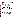| <b>Exposure scenario</b>                            | Dose; data base<br>uncertainty                                                                                                                                         | <b>Target Reference</b><br>Dose or MOE | <b>Study and toxicological effects</b>                                           |  |  |  |
|-----------------------------------------------------|------------------------------------------------------------------------------------------------------------------------------------------------------------------------|----------------------------------------|----------------------------------------------------------------------------------|--|--|--|
| <b>Dietary Risk Assessment</b>                      |                                                                                                                                                                        |                                        |                                                                                  |  |  |  |
| <b>Acute Dietary</b>                                | No appropriate endpoints were identified in the oral toxicity studies that represent a<br>single dose effect. An acute dietary risk assessment has not been conducted. |                                        |                                                                                  |  |  |  |
| <b>Chronic Dietary</b>                              | $BMD_{10} =$                                                                                                                                                           | Chronic RfD $(cRfD) =$                 | <b>Vos et al.</b> , $(1990)^{1}$                                                 |  |  |  |
| (all populations)                                   | $0.03$ mg/kg/day                                                                                                                                                       | $0.00003$ mg/kg/day                    |                                                                                  |  |  |  |
|                                                     |                                                                                                                                                                        | (A chronic dietary risk                | $\textbf{NOAEL} = 0.025 \text{ mg/kg/day}$                                       |  |  |  |
|                                                     | It is recommended                                                                                                                                                      | assessment has not been                | $\mathbf{LOAEL} = 0.25 \text{ mg/kg/day}$                                        |  |  |  |
|                                                     | that 10X data base                                                                                                                                                     | conducted because                      | immunotoxic effects                                                              |  |  |  |
|                                                     | uncertainty factor be                                                                                                                                                  | dietary exposure data                  |                                                                                  |  |  |  |
|                                                     | applied.                                                                                                                                                               | are lacking. The                       |                                                                                  |  |  |  |
|                                                     |                                                                                                                                                                        | endpoint is provided for               |                                                                                  |  |  |  |
|                                                     |                                                                                                                                                                        | future reference.)                     |                                                                                  |  |  |  |
|                                                     |                                                                                                                                                                        | <b>Non-Dietary Risk Assessments</b>    |                                                                                  |  |  |  |
| <b>Incidental Oral</b>                              | $BMD_{10} =$                                                                                                                                                           | Target $MOE = 1000$                    | <b>Vos et al.</b> , (1990)                                                       |  |  |  |
| Short-Term                                          | $0.03$ mg/kg/day.                                                                                                                                                      |                                        |                                                                                  |  |  |  |
| $(1-30 \text{ days})$ and                           | The 10X data base                                                                                                                                                      |                                        | $\textbf{NOAEL} = 0.025 \text{ mg/kg/day}$                                       |  |  |  |
| Intermediate-Term                                   | uncertainty factor is                                                                                                                                                  |                                        | $\mathbf{LOAEL} = 0.25 \text{ mg/kg/day}$                                        |  |  |  |
| immunotoxic effects<br>$(1 - 6$ months)<br>applied. |                                                                                                                                                                        |                                        |                                                                                  |  |  |  |
| <b>Dermal</b>                                       | $BMD_{10} =$                                                                                                                                                           | <b>Target MOEs</b>                     | <b>Vos et al.</b> , (1990)                                                       |  |  |  |
| (all durations)                                     | $0.03$ mg/kg/day.                                                                                                                                                      | occupational $= 100$                   |                                                                                  |  |  |  |
|                                                     | The 10X data base                                                                                                                                                      | residential = $1000$                   | $\textbf{NOAEL} = 0.025 \text{ mg/kg/day}$                                       |  |  |  |
|                                                     | uncertainty factor is                                                                                                                                                  |                                        | $\mathbf{LOAEL} = 0.25 \text{ mg/kg/day}$                                        |  |  |  |
|                                                     | applied.                                                                                                                                                               |                                        | immunotoxic effects                                                              |  |  |  |
| <b>Inhalation</b>                                   | $BMD_{10} =$                                                                                                                                                           | <b>Target MOEs</b>                     | <b>Vos et al.</b> , (1990)                                                       |  |  |  |
| (all durations)                                     | $0.03$ mg/kg/day.                                                                                                                                                      | occupational $= 100$                   |                                                                                  |  |  |  |
|                                                     | The 10X data base                                                                                                                                                      | residential = $1000$                   | $\textbf{NOAEL} = 0.025 \text{ mg/kg/day}$                                       |  |  |  |
|                                                     | uncertainty factor is                                                                                                                                                  |                                        | $\mathbf{LOAEL} = 0.25 \text{ mg/kg/day}$                                        |  |  |  |
|                                                     | applied.                                                                                                                                                               |                                        | immunotoxic effects                                                              |  |  |  |
| <b>Dermal</b>                                       | In the absence of a guideline dermal toxicity study or an acceptable dermal                                                                                            |                                        |                                                                                  |  |  |  |
| <b>Absorption</b>                                   | absorption study, a 15% dermal absorption factor has been used (EPA/HED).                                                                                              |                                        |                                                                                  |  |  |  |
| Carcinogenicity                                     |                                                                                                                                                                        |                                        | The carcinogenicity of tributyltin oxide has not been determined due to the high |  |  |  |
|                                                     | spontaneous incidence of tumors in the test species, incidence variability in the<br>treated groups, and absence of a dose-effect relationship.                        |                                        |                                                                                  |  |  |  |

## <span id="page-19-0"></span>**Table 4. Endpoint Selection for Tributyltin Compounds**

 $\overline{a}$ 

<sup>&</sup>lt;sup>1</sup> **Vos et al.**, (1990) Immunotoxicity of bis (tri-n-butyltin) oxide in the rat: Effects on thymusdependent immunity and on nonspecific resistance following long-term exposure in young vs. aged rats. Toxicol. Appl. Pharmacol. 105:144-155.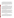<span id="page-20-0"></span> The additional database uncertainty factor is applied to the selected endpoint dose from a study reported in the open literature that suggests a potential for increased susceptibility in children to non-dietary TBT exposures. The Vos et al. (1990) study has been identified by several national and international entities as the basis of human health risk assessments for TBT. The immunosuppressive effects observed by the study authors are critical effects associated with a lower dose than the doses associated with other toxic effects, and suggest that weanling rats may be more sensitive than (year-old) adult rats to TBTO in the diet. The data base uncertainty factor is employed to address the unknowns in age-differentiated immune effects, and also to account for uncertainty in the magnitude of endocrine effects and dietary residues of TBT and degradates.

## **c) FQPA considerations**

 Under the Food Quality Protection Act (FQPA), P.L. 104-170, which was promulgated in 1996 as an amendment to the Federal Insecticide, Fungicide, and Rodenticide Act (FIFRA) and the Federal Food, Drug and Cosmetic Act (FFDCA), the Agency was directed to "ensure that there is a reasonable certainty that no harm will result to infants and children" from aggregate exposure to a pesticide chemical residue. The law further states that in the case of threshold effects, for purposes of providing this reasonable certainty of no harm, "an additional tenfold margin of safety for the pesticide chemical residue and other sources of exposure shall be applied for infants and children to take into account potential pre- and post-natal toxicity and completeness of the data with respect to exposure and toxicity to infants and children. Notwithstanding such requirement for an additional margin of safety, the Administrator may use a different margin of safety for the pesticide residue only if, on the basis of reliable data, such margin will be safe for infants and children."

 The Agency has concluded that labeled uses for the tributyltin could result in direct or indirect food exposures and incidental exposures. As mentioned above, there is evidence in the open literature suggesting that children may be more sensitive to TBT exposures than adults. Other data from two developmental toxicity studies and one reproductive toxicity study with TBT compounds show no evidence of increased sensitivity for fetuses or offspring. The Agency has not at this time confirmed an increased sensitivity in young, so has not applied a special sensitivity factor for the pre- and post-natal exposures. In addition to uncertainties about differential sensitivity based on age, there is some uncertainty associated with the magnitude of endocrine effects from human exposures to TBT, and in dietary exposures to TBT. As a result, the Agency has applied a 10X data base uncertainty factor for exposures contributing to aggregate risk.

#### **d) Endocrine disruption**

 EPA is required under the FFDCA, as amended by FQPA, to develop a screening program to determine whether certain substances (including all pesticide active and other ingredients) "may have an effect in humans that is similar to an effect produced by a naturally occurring estrogen, or other endocrine effects as the Administrator may designate." Following recommendations of its Endocrine Disruptor Screening and Testing Advisory Committee (EDSTAC), EPA determined that there was a scientific basis for including, as part of the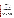disruption in humans.

program, the androgen and thyroid hormone systems, in addition to the estrogen hormone system. EPA also adopted EDSTAC's recommendation that EPA include evaluations of potential effects in wildlife. For pesticides, EPA will use FIFRA and, to the extent that effects in wildlife may help determine whether a substance may have an effect in humans, FFDCA authority to require the wildlife evaluations. As the science develops and resources allow, screening of additional hormone systems may be added to the Endocrine Disruptor Screening Program (EDSP). When the appropriate screening and/or testing protocols being considered under the EDSP have been developed, tributyltin oxide, tributyltin maleate and tributyltin benzoate may be subject to additional screening and/or testing to better characterize the known effects related to endocrine disruption, reproductive anomalies in marine invertebrates and thyroid effects in several other species.

 In 1996, the White House's Office of Science and Technology Policy began coordinating efforts across the Federal government to investigate and manage endocrine disrupting chemicals. A report of that Office's National Science and Technology Council on those efforts, "The Health and Ecological Effects of Endocrine Disrupting Chemicals," states that "…many of the same hormones and their receptors are present across species, genera, classes and even phyla [suggesting] that effects reported in one species from exposure to endocrine disrupting chemicals could have widespread biological implications." (<http://www.epa.gov/endocrine/frametext.html>). It is on this basis that the Agency assumes that endocrine disruption effects observed in other species indicate the potential for endocrine

 The open literature includes many reports of endocrine effects associated with exposure to TBT, including well-documented effects in marine species. Upon exposure to TBT in antifouling paints, *Nucella lapillus*, a dogwhelk snail, has been shown to develop a pathological condition termed "imposex," in which male reproductive organs (the penis and the vas deferens) form in females of the species. The growth of the penis in a female dogwhelk blocks the oviduct, ultimately preventing the release of ovules and ultimately resulting in her death. It has been suggested that imposex can cause population reductions in affected species. TBT is the only known inducer of imposex in the marine snails. Reports of the endocrine disrupting effects of exposure to organotins also have been published for bivalves in the phylum *Mollusca* (abalone) and mysids of the phylum *Arthropoda*. The open literature also contains reports of *in vitro* endocrine effects on human enzymes involved in estrogen. As indicated previously, the magnitude of such effects in humans is a source of database uncertainty.

 The Agency has proposed priorities for screening pesticide active ingredients for endocrine disruption, based primarily on the potential for human exposure rather than documentation of potential endocrine effects. Exposures in four pathways were considered: food, water, residential use, and occupational exposure. The organotin compounds are now produced in relatively low quantities in the US, and were not selected for the initial screening (*Draft List of Initial Pesticide Active Ingredients and Pesticide Inerts to be Considered for Screening under the Federal Food, Drug, and Cosmetic Act*. 2007. 72FR 116, pp. 33486-33503, which can be found at http://www.epa.gov/scipoly/oscpendo/pubs/draft\_list\_frn\_061807.pdf).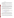#### **2. Incident reports**

<span id="page-22-0"></span> The following databases were consulted: Incident Data System of (EPA's) Office of Pesticide Programs, Poison Control Centers, California Department of Pesticide Regulation*,* and the National Pesticide Information Center. In addition, some incident reports associated with TBT health hazards are published in the scientific literature. The incidents reported in these databases are summarized here.

Primary systemic effects associated with the incidents recorded in these databases are nausea, dizziness, headache, and sore throat. The primary dermal effects that have been reported are rash, burning sensation, and itching.

Several incidents were reported for exposures to walls and joists treated with TBTO wood preservatives. They occurred when TBTO was used in combination with other chemicals. Exposures were associated with effects in residents and workers, including muscle weakness, tremors, and numbness in the extremities, eye irritation, respiratory distress, poor coordination and unsteadiness. Dermal exposure led to effects including rash, hives/welts, itching, blisters, color alteration, eye irritation, headache, nausea, and dizziness. Inhalation of the chemical vapors in one case resulted in chest pain and another resulted in seizures.

One incident was reported in which a woman was exposed to pillows treated with a product containing tributyltin maleate. The exposure routes were dermal and ocular. The woman developed swelling in her mouth, cheeks, neck, lips, and throat. She had difficulty speaking. She also suffered irritation of the eyes and mouth, quivering of the jaws, and a lack of concentration.

#### **3. Dietary and drinking water risk summary**

 A more complete discussion of the dietary exposures considered for this RED is available on the Docket in the dietary risk assessment, dated March 20, 2008. This document is available in the Docket at [www.regulations.gov](http://www.regulations.gov/) (docket # EPA-HQ-2008-0171).

#### **a) Residues in Food**

 TBT compounds are labeled for use in the following sites where a potential for food contact may occur: water cooling systems for pasteurization/canneries, paper, and adhesives. All of the TBT product labels for these use sites include specific prohibitions against the use of treated materials for food contact uses or use otherwise include directions intended to minimize indirect dietary exposures. The Agency believes that a dietary assessment is not warranted for these uses.

TBTO is also used as a disinfectant in livestock operations. For some applications, animals are removed prior to the treatment of the facilities, and the feeding equipment is rinsed with water prior to reuse. The Agency typically assumes that such conditions result in negligible residues. Product labels do not direct users to rinse or remove TBT solution or fogging residue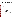<span id="page-23-0"></span>from surfaces after treatment, except for feeding and watering equipment. For some applications, animals are present when premises are treated. Eggs usually are present during treatment of egg hatching and storage areas. The Agency typically assumes that incubating eggs do not absorb pesticide residues on their shells. The registrant has indicated that the removal of eggs to avoid deposition of residues during application is not feasible, and that premises may be treated as frequently as once a day. No dietary residue data are available to assess potential exposures resulting from any of these uses.

The Agency does not ordinarily require residue data for antimicrobial pesticides that are used in animal premises, but because TBT residues are not physically removed from surfaces, animals, or eggs in treated areas, and because TBT is very persistent in the environment and is bioaccumulative, the Agency believes that it is possible for residues to remain in and on animals, eggs, and animal premises long after a treatment has occurred, and to concentrate in animals via incidental or dermal exposure. Consequently, there is a potential for human dietary exposure associated with the livestock premises uses. These potential exposures cannot be quantified without residue data.

#### **b) Residues in drinking water**

Discharges of treated cooling water, disposal of excess TBT solution from farm premises treatments, and leaching of TBT from treated exterior building materials and irrigation tubing may have potential to impact drinking water sources. A quantitative drinking water assessment has not been conducted as an appropriate method for assessing exposure data is lacking.

#### **4. Occupational and residential risk assessment**

 Details of the residential exposure assessment can be found in the occupational and residential exposure assessment available on the Docket. This document is available at [www.regulations.gov](http://www.regulations.gov/) (docket # EPA-HQ-2008-0171). The Agency selected representative scenarios for residential exposures. These scenarios reflect high-end exposure estimates.

#### **a) Residential handler exposures**

 Short-term inhalation and dermal exposures were assessed for applications of wood preservatives on houses—exterior siding, decks, etc. Tributyltin vapor pressure is low; inhalation exposures were assessed for aerosols only.

#### **b) Residential post-application exposures**

 Post-application scenarios have been selected to represent high-end exposures and include dermal exposure and/or incidental ingestion exposures from treated fabric. Bystander inhalation of aerosols generated during painting is assumed to be less than exposures to the applicator and was not assessed separately. Post-application exposures to vapors that result from the wood preservative use are assumed to be negligible.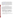<span id="page-24-0"></span> The Agency has used available data to estimate exposures to treated clothing and mattress covers. Two leaching studies for fabric treated with TBT were submitted to the Agency during the public comment period on the risk assessments for the RED. A detailed discussion of these studies is provided in the revised occupational and residential exposure assessment available at [www.regulations.gov](http://www.regulations.gov/) (docket # EPA-HQ-2008-0171). The registrant believes that the transfer of TBT from fabric to skin is much less that the default value of 100%. EPA has reviewed both of the studies and has concluded that the submitted studies by themselves are not adequate to support the use of the lower transfer rate. In particular, the second study does not supply sufficient information for calculating the amount of TBTO transferred from fabric to skin; the weight of the material is unknown and the 10 ppb concentration cannot be converted to ug/cm<sup>2</sup> of material. Risks were assessed for 100% and 5% transfer rates, to represent high- and low-rates of transfer.

#### **c) Residential risk characterization**

 Data sources and methodologies utilized for both the handler and post-application residential risk assessment include: the HED Residential Standard Operating Procedures (SOPs) (USEPA, 1997a), the USEPA Exposure Factors Handbook (USEPA 1997b), Recommended Revisions to the Residential SOPs (USEPA, 2001), and the Human and Environmental Risk Assessment (HERA) Guidance Document (2003). The specific input parameters and assumptions are discussed in the revised occupational and residential risk assessment available from the Docket. Residential handler exposure and risk estimates are summarized below. The target MOE for residential exposures is 1000, resulting from a 10X factor to account for speciesto-species variability, a 10X factor for within-species variability, and the 10X database uncertainty factor described above.

| <b>Exposure Scenario</b>  | <b>Application</b> | <b>MOE</b><br>$Target MOE = 1000$ |               |
|---------------------------|--------------------|-----------------------------------|---------------|
| <b>Application Method</b> | <b>Method</b>      | <b>Inhalation</b>                 | <b>Dermal</b> |
| Staining/Painting         | Paint brush        | 60                                |               |
|                           | Airless sprayer    |                                   |               |

**Table 5. Residential handler MOEs for applying paints and stains containing TBT** 

Modeled exposures are much lower than the target MOE and are of concern.

 For post-application exposures to treated fabric, the Agency calculated MOEs for a high and low dermal transfer rate. The Agency also used transfer values from the first study submitted by the registrant to estimate exposures.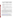| <b>Exposure Scenario</b>                                                        | <b>Percent residue transferred</b> | <b>Dermal MOE</b>           |  |  |
|---------------------------------------------------------------------------------|------------------------------------|-----------------------------|--|--|
|                                                                                 | from clothing to skin              | $Target MOE = 1000$         |  |  |
| Clothing, blankets                                                              |                                    |                             |  |  |
| Toddler                                                                         | 100                                | $<$ l                       |  |  |
|                                                                                 | 5                                  | $\mathcal{D}_{\mathcal{L}}$ |  |  |
| Adult                                                                           | 100                                | $\leq$ 1                    |  |  |
|                                                                                 | 5                                  | 3                           |  |  |
| Study #1 Application Rate (2.58% product by weight, product containing 1% TBTO) |                                    |                             |  |  |
| Toddler                                                                         | <b>NA</b>                          | 35                          |  |  |
| Mattress covers                                                                 |                                    |                             |  |  |
| Children                                                                        | 100                                | $\leq$ 1                    |  |  |
|                                                                                 | 5                                  |                             |  |  |
| <b>Adults</b>                                                                   | 100                                | $\leq$                      |  |  |
|                                                                                 | 5                                  | 11                          |  |  |
| Study #1 Application Rate (2.58% product by weight, product containing 1% TBTO) |                                    |                             |  |  |
| Children                                                                        | $< 10$ ppb                         |                             |  |  |

<span id="page-25-0"></span>**Table 6. Post-application MOEs for Toddlers and Adults Contacting Treated Textiles**

All the scenarios assessed yielded MOEs well below the target.Dermal transfer rates are not relevant to potential incidental exposures to toddlers mouthing treated textiles. The Agency estimates that the MOE for incidental oral exposure is 2, well below the target MOE of 1000.

#### **5. Aggregate risk**

 In order for a pesticide registration to continue, it must be shown that the use does not result in "unreasonable adverse effects on the environment." Section 2 (bb) of FIFRA defines this term to include "a human dietary risk from residues that result from a use of a pesticide in or on any food inconsistent with standard under section 408..." of FFDCA. As mandated by the FQPA amendments to FIFRA and the Federal Food, Drug and Cosmetic Act (FFDCA), the Agency must consider total potential aggregate exposure from food, drinking water and residential sources of TBT. Aggregate exposure is the total exposure to a single chemical that may occur from dietary (i.e., food and drinking water), residential, and other non-occupational sources, and from plausible exposure routes (oral, dermal, and inhalation). Typically, aggregate risk assessments are conducted for acute (1 day), short-term (1-30 days), intermediate-term (1-6 months) and chronic (6 months to lifetime) exposures.

 The Office of Pesticide Programs has published guidance outlining the necessary steps to performing aggregate exposure and risk assessments (General Principles for Performing Aggregate Exposure and Risk Assessments, November 28, 2001; available at <http://www.epa.gov/pesticides/trac/science/aggregate.pdf>). Steps for deciding whether to perform aggregate exposure and risk assessments are listed, which include: identification of toxicological endpoints for each exposure route and duration; identification of potential exposures for each pathway (food, water, and/or residential); reconciliation of durations and pathways of exposure with durations and pathways of health effects; determination of which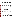<span id="page-26-0"></span>possible residential exposure scenarios are likely to occur together within a given time frame; determination of magnitude and duration of exposure for all exposure combinations; determination of the appropriate technique (deterministic or probabilistic) for exposure assessment; and determination of the appropriate risk metric to estimate aggregate risk.

 Risks are of concern for individual uses that contribute to TBT aggregate exposure, therefore, the aggregate risks would be of a concern as well.

#### **6. Cumulative Exposure and Risk**

 Section 408 of the FFDCA requires that the Agency must consider "available information" concerning the cumulative effects of a particular pesticide's residues and "other substances that have a common mechanism of toxicity" when making a determination about unreasonable adverse effects for a pesticide.

 Unlike other pesticides for which EPA has followed a cumulative risk approach based on a common mechanism of toxicity, no common mechanism of toxicity finding relative to TBT and any other substances has been made, and for the purposes of this RED, EPA has not assumed that the TBT compounds have a common mechanism of toxicity with other substances. For information regarding EPA's efforts to determine which chemicals have a common mechanism of toxicity and to evaluate the cumulative effects of such chemicals, see the policy statements released by EPA's Office of Pesticide Programs concerning common mechanism determinations and procedures for cumulating effects from substances found to have a common mechanism on EPA's website at [http://www.epa.gov/pesticides/cumulative/.](http://www.epa.gov/pesticides/cumulative/)

#### **7. Occupational Exposure and Risk**

#### **a) Occupational handler exposure scenarios**

 The Agency has assessed the exposures and risks for occupational workers who handle TBT-containing products and who are exposed to TBT after application. A detailed discussion of occupational risks can be found in the revised occupational and residential exposures assessment posted to the TBT Docket [\(www.regulations.gov](http://www.regulations.gov/), docket # EPA-HQ-2008-0171). Post-application exposures were assessed for machinists handling TBT-preserved metalworking fluids and workers re-entering a hatchery after fogging with the TBT disinfectant.

 Occupational handler exposures to TBT can occur during applications of materials preservatives, applications to farm premises, cooling water towers, oilfield and petrochemical injection systems, metalworking fluids, and when applying wood preservatives. Application of materials preservatives refers to the scenario of a worker adding the TBT preservative to the material being treated (joint compound, adhesives, paper, etc.) through either open pouring or a metering pump. Open pouring is the transferring of antimicrobial product from a small container to an open vat. Use of a metering pump involves transferring the antimicrobial product by connecting a chemical metering pump from a tote or by gravity flow to be diluted for use. These same processes are used for cooling towers, oilfield and petrochemical injection systems, and metal working fluids. Workers may apply wood preservatives through several methods,

.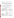<span id="page-27-0"></span>including paint brushes and airless sprayers. Handlers of TBT products for farm premises applications may apply the material by brush, mop, wipe, spray, or fogger (thermal, automated, or otherwise).

 For materials preservatives, cooling towers, and oilfield and petrochemical injection fluids, EPA expects that occupational exposures will be negligible or minimal for handling tributyltin-containing products via closed loading, assuming that label-specified PPE (i.e., long pants, long-sleeved shirts, protective eyewear, and chemical resistant gloves) are consistently utilized.

## **b) Occupational post-application exposure scenarios**

 Occupational post-application exposures are believed to be minimal except for machinists working with metal working fluids and workers reentering farm premises after TBT treatments. Post-application exposures to machinists using metal working fluids with TBT additives are considered to be long-term

## **c) Occupational risk characterization**

Data sources and assumptions are fully discussed in the revised occupational and residential risk assessment available from the Docket. Most occupational exposures are considered to be short- and intermediate-term. .

|                                                          | <b>Method of Application</b> | $MOE$ (Target $MOE = 100$ )   |                                |
|----------------------------------------------------------|------------------------------|-------------------------------|--------------------------------|
| <b>Exposure Scenario</b>                                 |                              | <b>Inhalation</b>             | <b>Dermal</b>                  |
| <b>Agricultural Premises and Equipment</b>               |                              |                               |                                |
| Agricultural/farm/<br>poultry structures/buildings       | Brush-on                     | 4500                          | 47<br>$(350 \text{ w/gloves})$ |
| and equipment                                            | Wipe                         | 360                           | 57                             |
|                                                          | Mop                          | 1300                          | 300                            |
|                                                          | Spray<br>(hand held)         | 930                           | 22                             |
|                                                          | Spray<br>(mechanical)        | 1300                          | 420                            |
|                                                          | Fogger (hand-held)           | $\overline{2}$                | $\leq$ 1                       |
| <b>Material preservatives</b>                            |                              |                               |                                |
| Caulk (representing joint)<br>compound, adhesives, etc.) | Open pour                    | 210                           | 36                             |
|                                                          | Metering pump                | 360                           | $\overline{2}$                 |
| Metal working fluids                                     | Open pour                    | 68                            | 21                             |
| <b>Industrial Processes and Water Systems</b>            |                              |                               |                                |
| Paper                                                    | Open pour or metering pump   | Closed loading systems are    |                                |
| Cooling water                                            |                              | expected to result in minimal |                                |

## **Table 7. Risks for Occupational Handlers**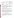<span id="page-28-0"></span>

|                              | <b>Method of Application</b> | $MOE$ (Target $MOE = 100$ )                                              |               |
|------------------------------|------------------------------|--------------------------------------------------------------------------|---------------|
| <b>Exposure Scenario</b>     |                              | <b>Inhalation</b>                                                        | <b>Dermal</b> |
|                              |                              | exposure.                                                                |               |
| Oil fields and petrochemical | Open pour                    |                                                                          |               |
| water injection systems      | Metering pump                | Closed loading systems are<br>expected to result in minimal<br>exposure. |               |
| <b>Wood preservatives</b>    |                              |                                                                          |               |
| Painting/staining            | Paint brush                  | 24                                                                       | $<$ 1         |
| (commercial)                 | Airless sprayer              |                                                                          | $<\,$         |

 Occupational post-application exposures are assumed to be negligible except for the machinist exposed to TBT-treated metalworking fluids and workers re-entering farm premises after treatment. Dermal and inhalation MOEs for machinists are 3 and 36, respectively. It is not considered feasible for a machinist to wear protective PPE due to the nature of the work. Workers re-entering treated farm premises are considered to be adequately protected (i.e., MOE at or above 100) after a restricted entry interval of 2 hours.

#### **B. Environmental Risk Assessment**

 Detailed information on environmental fate is presented in the environmental fate assessment available at [\(www.regulations.gov,](http://www.regulations.gov/) docket # EPA-HQ-2008-0171). A brief summary is provided below. For purposes of this risk assessment, TBTO is the primary focus of the environmental fate discussion.

 TBTO is essentially stable to hydrolysis and photolysis in freshwater and saltwater. Based on its low vapor pressure, it is not expected to volatilize from water. Biodegradation is considered to be the major breakdown pathway of this chemical when it is present in either water or sediments. Half-lives are in the range of several days to weeks in water and from several days to more than a year in sediments (the open literature supports the longevity of TBT and degradates, especially in the sediment.). The octanol/water partition coefficient is very high. TBTO has a high tendency to bioconcentrate (e.g., concentrate in the tissues of species that may ingest the chemical) and bioaccumulate (e.g., concentrate in the food chain).

## **1. Ecological toxicity for wildlife species**

 A detailed ecological hazard and environmental risk assessment for TBTO is available at [www.regulations.gov](http://www.regulations.gov/) (docket # EPA-HQ-2008-0171). A summary of findings is presented below. A quantitative ecological risk assessment has been conducted for TBTO wood preservative applications. Data are not available for environmental exposures resulting from other uses, but the Agency has highlighted those it believes have the potential to contaminate drinking water and natural waters.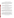#### **a) Acute and dietary toxicity to birds and mammals**

<span id="page-29-0"></span>Acute oral and dietary studies indicate that technical-grade TBTO is moderately toxic to birds if ingested. Based on these study results, an avian precautionary statement is not warranted for the TBT product labels. The guidelines for avian acute-oral toxicity (OPPTS 850.2100) and avian dietary toxicity OPPTS 850.2200) are satisfied. Mammalian acute toxicity data from several studies indicate that TBT compounds are moderately toxic to small mammals on an acute-oral basis.

#### **b) Non-target insects – honeybees**

 No guideline data are available for TBTO. In the absence of data on residues in honey and beeswax and acute toxicity of treated wood residues to bees, risks to honeybees cannot be assessed. The Agency believes that precautionary labeling on the use of TBT wood preservatives on wood used for beehive construction can be used to address these uncertainties.

#### **c) Acute toxicity -- freshwater fish**

 Two acute toxicity studies with the TGAI are required to establish the toxicity of TBTO compounds to freshwater fish. The acute toxicity data characterize technical-grade TBTO as being very highly toxic to freshwater fish. A precautionary statement is triggered for product labels. The guideline for freshwater-fish acute toxicity (OPPTS 850.1075) is satisfied.

#### **d) Acute toxicity -- freshwater invertebrates**

 A study with the TGAI is required to establish the acute toxicity of TBT to freshwater invertebrates. The preferred test species is the water flea, *Daphnia magna*. Results from two guideline studies categorize technical-grade TBTO as being very highly acutely toxic to the water flea. A precautionary statement is triggered for product labels. A study testing dibutyltin dichloride categorizes this degradate as moderately toxic. The guideline requirement (OPPTS 850.1010) is satisfied.

#### **e) Estuarine and marine fish and invertebrates, acute toxicity**

 Two guideline fish toxicity studies are available. The results of these studies indicate that TBTO compounds are very highly toxic to estuarine/marine fish. The guideline for estuarine/marine-fish acute toxicity (OPPTS 850.1075) is satisfied. Acute toxicity data are available for a number of estuarine/marine invertebrate species, including the Eastern oyster (*Crassostrea virginica*), Pacific oyster (*Crassostrea gigas*), bay mussel (*Mytilus edulis*), fiddler crab (*Uca pugilator*), pink shrimp (*Penaeus duorarum*), and grass shrimp (*Palaemonetes pugio*). The acute toxicity data indicate that TBT is very highly toxic to estuarine/marine invertebrates.

#### **f) Chronic toxicity for aquatic organisms**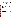US EPA ARCHIVE DOCUMENT evaluate the potential for adverse ecological effects to occur at concentrations of the pesticide that may be found in natural waters. Risk quotients (RQs) are determined for each taxon or ecological group by comparing exposure estimates (Estimated Environmental Concentrations, EECs) to the available acute and chronic ecotoxicity values, where:

 $RQ =$  Exposure estimate (EEC) / Toxicity value

<span id="page-30-0"></span> No guideline studies are available to assess chronic risks of TBT-containing compounds to freshwater fish and invertebrates. However, EPA's (2003) *Ambient Aquatic Life Water Quality Criteria for Tributyltin (TBT) – Final* presents chronic toxicity values for a 32-day early life-stage study with the fathead minnow (*Pimephales promelas*) and for two 21-day life-cycle studies with *Daphnia magna*. NOEC values for adverse reproductive affects ranged from 0.1 to 0.19 µg ai/L across the three studies. Two guideline studies with the sheepshead minnow are available to assess the chronic toxicity of TBTO to estuarine/marine fish. These studies fulfill the guideline (850.1400) for a fish early life-stage (freshwater) study. No valid guideline studies are available for aquatic invertebrates.

 The open literature contains abundant information on the toxicity of TBT to aquatic invertebrates including reports of shell deformation in oysters and reproductive aberrations in certain marine snails (imposex). Research suggests that sensitive species may exhibit severe toxic effects in water at TBT concentrations in the parts-per-trillion range. In addition, TBT has been shown to bioaccumulate in the aquatic environment, and there are reports of toxicity in marine mammals exposed in the natural environment, including suggestions of immunotoxic effects. As mentioned previously, TBT is a known endocrine disruptor with documented effects in wildlife. The bibliography for this RED includes several citations on the effects of TBT on marine mammals.

## **2. Acute and chronic sediment toxicity**

 No guideline studies are available. Acute and chronic sediment toxicity data are needed to support TBT uses with the potential for contaminating sediment, because pertinent environmental fate data predict that residues will move into the aquatic environment and be deposited and persist in sediments. The  $K_d > 10$  for acute and  $> 50$  for chronic, the log  $K_{ow} > 3$ , the  $K_{\text{oc}} > 1,000$ , and soil aerobic half-life has been reported as 127 days in laboratory testing.

## **3. Aquatic plants**

 No guideline studies have been submitted for TBT. Aquatic plant growth testing (850.5400) with the TGAI or TEP is required for all pesticides that entail wood preservative uses. The EPA (2003) *Ambient Aquatic Life Water Quality Criteria for Tributyltin (TBT) – Final* provides some information indicating that phytotoxicity of TBTO to aquatic plants may be of concern.

Risk assessment and characterization integrate exposure and toxicity information to

## **C. Environmental risk assessment criteria**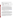<span id="page-31-0"></span>RQs are compared to OPP's levels of concern (LOCs). Exceedance of an LOC indicates a potential for acute or chronic adverse effects and identifies a need for regulatory action to mitigate risk.

| <b>Presumption</b>         | <b>Aquatic Animals</b> | <b>Terrestrial</b><br><b>Animals</b> | <b>Plants</b> |
|----------------------------|------------------------|--------------------------------------|---------------|
| Acute risk                 |                        |                                      |               |
| Acute risk, listed species | .05                    |                                      |               |
| Chronic risk               |                        |                                      | n/a           |

**Table 8. Levels of Concern for Wildlife Subgroups**

 When available, toxicity measures or other appropriate information from non-guideline studies or from the open literature also may be used to characterize risk.

 OPP generally uses computer simulation models to estimate exposure of aquatic organisms to an active ingredient. These models estimate EECs in surface waters using productlabel information (e.g., treatment site, application rate, application method,) and available environmental-fate data to determine how fast the pesticide breaks down and its expected movement in the environment. For some scenarios which the Agency believes may result in environmental contamination with TBT, data and models are lacking to estimate environmental concentrations, including farm premises uses, cooling tower discharges, disposal of metal working fluids and petrochemical injection liquids after use, leaching from treated irrigation tubing. The Agency is able to estimate environmental concentrations associated with TBTOcontaining wood preservatives. The model and results are summarized below and described in more detail in the ecological risk chapter posted to the TBT Docket at [www.regulations.gov](http://www.regulations.gov/) (docket # EPA-HQ-2008-0171).

#### **D. Aquatic and Terrestrial Risk Characterization**

EECs for the leaching of TBTO from treated wood into soil and surface waters were calculated for six uses: transmission poles, fence posts, fences, deck posts, decks, and houses. The methodology for this analysis is based on an environmental risk assessment previously prepared by the Rohm and Haas (2006) for 4,5-dichloro-2-n-octyl-3(2H)-isothiazolone (DCOIT). Soil concentrations and other input data are then used with EPA's Express model EXAMS-PRZM Exposure Simulation Shell (version 1.03.02) to estimate concentrations in surface water. Data compensation will need to be made for the use of Rohm and Haas' study.

TBT is expected to accrue in aquatic sediments, with half-lives from several days to months or more (EPA 2003); thus, sediments may be a long-term source of exposure of aquatic organisms. The risks associated with the presence of TBT in the sediment cannot be adequately assessed without acute and chronic sediment-toxicity data. There is evidence in the open literature that certain sediment concentrations can trigger severe effects in various aquatic organisms, and the particulars of the various effects are discussed in more detail in the supporting ecological hazard chapter.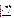Potential risks to aquatic plants cannot be quantitatively assessed without the relevant toxicity data.

 Based on the values calculated for the ecological risks, acute risks to listed (i.e., endangered or threatened) fish and invertebrates are presumed to result from aquatic exposure to TBTO resulting from wood preservative use. This presumption of risk necessitates a more comprehensive risk assessment for listed species, but is not included in the current assessment (see Endangered Species Considerations section). Although the Agency's calculated chronic LOC is not exceeded for either fish or aquatic invertebrates, evidence exists that chronic exposure may be a concern for some organisms. EPA considers TBT-containing compounds to be a concern in the aquatic environment due in part to TBT's persistence and its link to imposex and immunosupression in aquatic organisms. Through its authority under the Clean Water Act, the Agency developed ambient water quality criteria for TBT-containing compounds (EPA 2003), based on a broad selection of published data. These criteria, in combination with characteristics of local water bodies, are used by the States to establish permit limits under the National Pollutant Discharge Elimination System.

 TBT is moderately toxic to birds and mammals, and acute effects are possible if TBTcontaminated food is eaten. Because TBT bioaccumulates in tissues of organisms, food sources such as earthworms and fish could expose species of birds and mammals. At this time, the Agency is unable to assess risks to birds and mammals that eat contaminated food.

The Agency conducted a quantitative assessment of the risks associated with the use of TBT as a wood preservative. For other uses which may result in TBT releases in the aquatic environment, risks are addressed in a qualitative manner. The following table shows only those wood preservative uses with RQs which exceed LOCs.

| <b>Use</b>                            | <b>RQ</b> | <b>Acute LOCs</b><br>exceeded |  |
|---------------------------------------|-----------|-------------------------------|--|
| <b>Freshwater Invertebrates</b>       |           |                               |  |
| House                                 | 0.05      | listed species                |  |
| <b>Estuarine/Marine Invertebrates</b> |           |                               |  |
| House                                 | 0.45      | listed species                |  |
| Fence                                 | 0.32      | listed species                |  |
| Deck Post                             | 0.20      | listed species                |  |
| <b>Fence Post</b>                     | 0.12      | listed species                |  |
| Deck                                  | 0.09      | listed species                |  |

**Table 9. Acute Ecological Risks for the Wood Preservative Use of TBTO**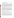<span id="page-33-0"></span>A more refined assessment should include analyses for direct and indirect exposures of non-target organisms, and habitat effects.

#### **E. Endangered species considerations**

 Section 7 of the Endangered Species Act (ESA), 16 U.S.C. Section 1536(a)(2), requires that federal agencies consult with the National Marine Fisheries Service (NMFS) for marine and anadromous listed species, or with the United States Fish and Wildlife Services (FWS) for listed wildlife and freshwater organisms, if proposing an "action" that may affect listed species or their designated habitat. Each federal agency is required under the Act to insure that any action they authorize, fund, or carry out is not likely to jeopardize the continued existence of a listed species or result in the destruction or adverse modification of designated critical habitat. To jeopardize the continued existence of a listed species is to "to engage in an action that reasonably would be expected, directly or indirectly, to reduce appreciably the likelihood of both the survival and recovery of a listed species in the wild by reducing the reproduction, numbers, or distribution of the species," (50 C.F.R. §402.02).

To comply with subsection (a)(2) of the ESA, EPA's Office of Pesticide Programs has established procedures to evaluate whether a proposed registration action may directly or indirectly appreciably reduce the likelihood of both the survival and recovery of a listed species in the wild by reducing the reproduction, numbers, or distribution of any listed species (U.S. EPA 2004). If any of the Listed Species LOC Criteria are exceeded for either direct or indirect effects in the Agency's screening-level risk assessment, the Agency identifies any listed or candidate species that may occur spatially and temporally in the footprint of the proposed use. Further biological assessment is undertaken to refine the risk. The extent to which any species may be at risk determines the need to develop a more comprehensive consultation package as required by the ESA. The comprehensive assessment has not been conducted at this time for the TBT compounds.

#### **IV. Reregistration Eligibility and Risk Management Decisions**

The Agency typically assesses tolerances for pesticides as part of the reregistration decision.At this time, there are no existing tolerances for TBT or metabolites and no data to indicate if residues are present in food commodities as a result of the use of TBT. No tolerance assessment has been conducted at this time.

 TBT is highly bioaccumulative and very persistent in the environment. The Agency does not ordinarily require residue data for antimicrobial pesticides that are used in farm premises. The Agency believes that the persistence and bioaccumulative potential of TBT could result in residues of TBT in animals and eggs inhabiting, incubating, or held in areas that have been treated. Residues deposited in the treated area may remain long after a treatment has occurred, and may concentrate in animals via incidental or dermal exposure. Based on the use of the farm premises disinfectant and the environmental fate characteristics of TBT, the Agency has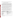US EPA ARCHIVE DOCUMENT

 $\overline{a}$ 

<span id="page-34-0"></span>determined that TBT residue data are required to support the use of TBTO on farm premises; these data, once reviewed, could indicate a need for the establishment of tolerances.

## **A. Determination of reregistration eligibility**

Section  $4(g)(2)(A)$  of FIFRA calls for the Agency to determine, after submission of relevant data concerning an active ingredient, whether or not products containing a pesticide active ingredient are eligible for reregistration. The Agency has previously identified and required the submission of the generic (i.e., active ingredient-specific) data to support reregistration of products containing TBT compounds. The Agency has completed its review of these generic data and has determined that the data are sufficient to support reregistration of some uses of TBT. Other uses are lacking data the Agency has determined are necessary for the support of TBT reregistration. These studies are identified in Section V of this document.

 Based on available data, the Agency has completed its assessment of the residential, occupational, and ecological risks associated with the use of pesticide products containing TBT active ingredients. The Agency has determined that some TBT uses are eligible for reregistration with the following caveats: 1) all risk mitigation measures described in this document must be implemented, 2) current data gaps and confirmatory data must be addressed, and 3) label amendments must be made as described in Section V.

 Some uses of TBT are not eligible for reregistration. For some products with uses not eligible for reregistration, registrants have requested termination of the subject uses or cancellation of the subject registrations. At a minimum, if the Agency were to consider the registration of these uses of TBT in the future, uses identified as ineligible would be subject to additional data requirements not included in the data gaps identified in Section V.

 The following table shows which uses are eligible for reregistration and which are not. The reregistration eligibility decisions are explained under "Regulatory Rationale" below.

| <b>Eligible for Reregistration</b> | Not Eligible/                             |  |  |
|------------------------------------|-------------------------------------------|--|--|
|                                    | <b>Request for Voluntary Cancellation</b> |  |  |
| Farm premises <sup>2</sup>         |                                           |  |  |
| livestock premises                 | inter-depopulation treatments             |  |  |
| kennels                            | tack                                      |  |  |
| veterinary clinics                 | equipment with direct animal contact      |  |  |
| animal laboratories                | tools                                     |  |  |
| breeding facilities                | immersion treatments                      |  |  |
| hatcheries                         | boot bath                                 |  |  |
| egg rooms                          |                                           |  |  |
| incubators, setters                |                                           |  |  |

 $2$  Eligibility dependent on labeling that prohibits application when animals or eggs are present, application via handheld fogger (thermal or otherwise)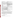<span id="page-35-0"></span>

| egg trucks                                                                                                                                                                                                                                                                                                                       |                                                                                                                                                                                                                                                                                                                                                                                                                                                                                             |
|----------------------------------------------------------------------------------------------------------------------------------------------------------------------------------------------------------------------------------------------------------------------------------------------------------------------------------|---------------------------------------------------------------------------------------------------------------------------------------------------------------------------------------------------------------------------------------------------------------------------------------------------------------------------------------------------------------------------------------------------------------------------------------------------------------------------------------------|
|                                                                                                                                                                                                                                                                                                                                  | Wood preservatives                                                                                                                                                                                                                                                                                                                                                                                                                                                                          |
|                                                                                                                                                                                                                                                                                                                                  | all uses                                                                                                                                                                                                                                                                                                                                                                                                                                                                                    |
|                                                                                                                                                                                                                                                                                                                                  | Materials preservatives in building materials                                                                                                                                                                                                                                                                                                                                                                                                                                               |
| drywall, joint compound                                                                                                                                                                                                                                                                                                          |                                                                                                                                                                                                                                                                                                                                                                                                                                                                                             |
| fiber board, particulate board                                                                                                                                                                                                                                                                                                   |                                                                                                                                                                                                                                                                                                                                                                                                                                                                                             |
| adhesives                                                                                                                                                                                                                                                                                                                        |                                                                                                                                                                                                                                                                                                                                                                                                                                                                                             |
|                                                                                                                                                                                                                                                                                                                                  | Materials preservatives in textiles and related materials                                                                                                                                                                                                                                                                                                                                                                                                                                   |
| fiberfill, foam <sup>3</sup>                                                                                                                                                                                                                                                                                                     | clothing, including hosiery                                                                                                                                                                                                                                                                                                                                                                                                                                                                 |
| carpet backing                                                                                                                                                                                                                                                                                                                   | mattress covers, pillow covers, ticking                                                                                                                                                                                                                                                                                                                                                                                                                                                     |
| air filters                                                                                                                                                                                                                                                                                                                      | sponges, mop heads                                                                                                                                                                                                                                                                                                                                                                                                                                                                          |
| rubber mats                                                                                                                                                                                                                                                                                                                      | laundry treatments                                                                                                                                                                                                                                                                                                                                                                                                                                                                          |
| canvas/other fabrics for tarps, tents, awnings                                                                                                                                                                                                                                                                                   | canvas/other fabrics for cushions, hammocks                                                                                                                                                                                                                                                                                                                                                                                                                                                 |
| webbing for nets in sport applications                                                                                                                                                                                                                                                                                           | rope <sup>4</sup>                                                                                                                                                                                                                                                                                                                                                                                                                                                                           |
| $paper^{\overline{5}}$                                                                                                                                                                                                                                                                                                           | textiles with potential for direct dermal contact                                                                                                                                                                                                                                                                                                                                                                                                                                           |
|                                                                                                                                                                                                                                                                                                                                  | Cooling water                                                                                                                                                                                                                                                                                                                                                                                                                                                                               |
|                                                                                                                                                                                                                                                                                                                                  | all uses                                                                                                                                                                                                                                                                                                                                                                                                                                                                                    |
|                                                                                                                                                                                                                                                                                                                                  | Metal working fluids                                                                                                                                                                                                                                                                                                                                                                                                                                                                        |
|                                                                                                                                                                                                                                                                                                                                  | all uses                                                                                                                                                                                                                                                                                                                                                                                                                                                                                    |
|                                                                                                                                                                                                                                                                                                                                  | Petrochemical injection                                                                                                                                                                                                                                                                                                                                                                                                                                                                     |
|                                                                                                                                                                                                                                                                                                                                  | all uses                                                                                                                                                                                                                                                                                                                                                                                                                                                                                    |
|                                                                                                                                                                                                                                                                                                                                  | Irrigation tubing for non-agricultural applications                                                                                                                                                                                                                                                                                                                                                                                                                                         |
|                                                                                                                                                                                                                                                                                                                                  | all uses                                                                                                                                                                                                                                                                                                                                                                                                                                                                                    |
|                                                                                                                                                                                                                                                                                                                                  | Antifouling                                                                                                                                                                                                                                                                                                                                                                                                                                                                                 |
| sonar domes                                                                                                                                                                                                                                                                                                                      | previously cancelled: ships, boats,                                                                                                                                                                                                                                                                                                                                                                                                                                                         |
| antifoulant devices in oceanographic                                                                                                                                                                                                                                                                                             | crab/lobster/bass pots                                                                                                                                                                                                                                                                                                                                                                                                                                                                      |
| conductivity sensors                                                                                                                                                                                                                                                                                                             |                                                                                                                                                                                                                                                                                                                                                                                                                                                                                             |
| submit confirmatory data, the Agency may take regulatory action to address the risk concerns<br>from the uses of these TBT registrations. If the registrants comply in entirety with all<br>for the purposes of this determination, no risks of concern will exist for the registered uses of<br>registrations may be necessary. | The Agency has determined that some TBT products, labeled and used according to label<br>directions, may present risks inconsistent with FIFRA. Accordingly, should a registrant fail to<br>implement the risk mitigation measures, make the label changes identified in this document, and<br>requirements outlined in this document for products otherwise eligible for reregistration, then,<br>TBT. When the endangered species assessment for TBT is completed, further changes to TBT |

| $2.11$ $1.000$ $1.11$ $1.000$ $1.000$ $1.000$    |  |
|--------------------------------------------------|--|
| <sup>4</sup> Request for use termination pending |  |
|                                                  |  |
|                                                  |  |
|                                                  |  |

 $<sup>5</sup>$  Eligibility dependent on labeling that prohibits use in paper for direct or indirect food contact</sup>

**Eligible for Reregistration | Not Eligible/** 

**Request for Voluntary Cancellation**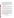Through the Agency's public participation process, EPA has solicited input from stakeholders (including the general public) for consideration in formulating the regulatory decision for TBT. EPA released its preliminary risk assessment of the TBT compounds for public comment on April 2, 2008. The Agency received just one comment (from a registrant) during the 60-day public comment period, which closed on June 2, 2008. This comment included observations on the Agency's human health risk endpoint selection, leaching of TBT from treated sponges, and transfer of TBT from treated textiles to human skin. The comments have been addressed through revisions to the risk assessments or in a separate "response to comments" document that is posted to the TBT docket along with other supporting information at [www.regulations.gov](http://www.epa.gov/edocket) (Docket ID #EPA-HQ-OPP-2008-0171).

## **C. Regulatory Rationale**

 The Agency has determined that some uses of TBT are eligible for reregistration, with several caveats and conditions. For those uses that are eligible, risk mitigation measures and label changes must be implemented as outlined in this document, and required data must be submitted. Requirements for revised label language are set forth in Table 12 in Section V of this document.

 Eligibility decisions for the different uses of TBT are all influenced by an overarching concern associated with the environmental fate characteristics of TBT. In particular, TBT compounds are very persistent in the environment and have a high potential for bioaccumulation. These characteristics increase opportunities for exposure to TBT in the environment and the food chain.

 The environmental persistence of TBT increases opportunities for human and wildlife exposures because organisms are exposed to TBT residues for a long time after the pesticide is introduced into the environment. Aquatic organisms remain in contact with contaminated water or sediment, or may ingest food items contaminated with TBT residues, long after the initial contamination occurs. Because TBT is bioaccumulative and lipophilic, TBT may concentrate in the food chain, so that species at the top of the food chain, like predator species and man, may be exposed to concentrations above what is present in individual food sources, water, or sediment.

 Another overarching concern affects decision-making for TBT. Research findings indicating that TBT is an endocrine disruptor in a number of species represent a toxicological impact that EPA's current risk assessment methodologies cannot account for quantitatively. The Agency is working to understand the scope of endocrine effects associated with pesticides and the relationship between endocrine effects in wildlife and effects in humans. For the time being, the Agency is assuming that exposures that result in adverse endocrine effects in animals have the potential to cause adverse endocrine effects in humans.

#### **1. Human Health Risk Management**

**a) Dietary (food) and drinking water risk mitigation**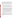The Agency was unable to conduct a quantitative food or water dietary exposure assessment for TBT because empirical exposure data are lacking. However, TBT is highly toxic, so that even very small exposures may be associated with unacceptable risks. Instead of a quantitative exposure assessment, the Agency considered the fate and toxicological characteristics of the TBT compounds, the nature of potential dietary exposures, and the type of data that would facilitate a quantitative dietary assessment. The Agency has concluded that there is a potential for dietary exposures of concern associated with the use of TBT disinfectants on farm premises.

In order to address the potential for harmful dietary exposures associated with the farm premises uses, the Agency is prescribing the following risk mitigation measures:

- Animals must be removed from premises (e.g., livestock housing and breeding facilities) prior to treatment of premises and surfaces within these premises with TBT. Animals must not be returned to premises for at least 48 hours following the conclusion of treatment. As required by current labeling, feeding and watering bowls and equipment must be removed prior to treatment, or washed with soap and water after treatment and before reuse.
- The use of TBT in egg handling facilities and vehicles (hatcheries, egg rooms, incubators, egg trucks, etc.) when eggs are present is prohibited. The registrant has not provided data showing that repeated and frequent applications of TBT do not result in transfer of residues in eggs through the shell or in hatched chicks. Labels allow that eggs may be treated daily before hatching, and because TBT is both persistent and bioaccumulative, the Agency is concerned that TBT could concentrate in the eggs and enter the food supply in chickens raised from treated eggs, posing a risk of dietary exposure. Several products containing other active ingredients are registered for similar uses, including some registered to the registrant holding the TBT farm premises product. The Agency has concluded that only a small percentage of egg producers use the TBT product, suggesting that effective alternatives are available and preferred by many producers.
- Treatment of tack (halters, etc.) with TBT is prohibited. Animals may have constant, direct contact with tack; there is potential for TBT transfer from treated tack to livestock that may be used to produce meat and milk, or companion animals. By the same reasoning, treatment of other equipment or tools that come into direct contact with livestock is prohibited.

 Other risk mitigation measures for the farm premises use are explained in the sections on occupational handler and post-application exposures below. If the risk mitigation measures and revised labeling are implemented, and if related data needs are satisfied, the use of TBT on farm premises is eligible for reregistration. The Agency is requiring data on residues of TBT and metabolites in meat, milk, and eggs in support of the use of TBT on farm premises, as noted in Section V of this RED.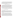Although the Agency believes there are a number of TBT use sites with potential for contaminating water sources and underlying sediments, data and appropriate models are lacking to conduct a drinking water risk assessment for TBT. (The same use sites have the potential to pose risks of concern to wildlife. These other uses and the rationale for the associated reregistration eligibility decisions are discussed below under Environmental Risk Management below. Per the Agency's concern about TBT residues in both drinking water and wildlife habitat, these uses are not eligible for reregistration.)

#### **b) Related issues; risks to domestic animals**

 The same TBT product registered for use on farm premises is also registered for use in animal housing facilities in non-farm situations (e.g., kennels, veterinary clinics, and breeding facilities). Although the treatment of such facilities is not expected to result in dietary exposures, the Agency believes it is prudent to apply similar risk mitigation measures to these use sites, based on concerns about dermal exposures to companion animal veterinarians, veterinary technicians, laboratory workers, and owners and handlers of domestic animals. The risks associated with these exposures cannot be quantified, but potential risks can be mitigated via the same measures applied to the farm premises uses. Therefore, the risk mitigation measures of farm premises will apply to non-farm animal premises. Other risk mitigation measures for this use are explained in the sections on occupational handler and post-application exposures below.

 The use of TBT in animal housing facilities in non-farm situations will be eligible for reregistration if all appropriate risk mitigation measures and labeling revisions are implemented.

#### **c) Residential risk mitigation**

#### **Wood preservative handlers**

Short-term residential handler risks were estimated for people who apply wood preservatives to outdoor construction and building components. The target MOE for these applications is 1000. Risks were estimated for application by brush and airless sprayer. Both dermal and inhalation MOEs were much lower than the target—ranging from <1 to 60. These MOEs represent application of 2 gallons (by brush) and 15 gallons (by airless sprayer). It is not feasible to reduce residential handler risks by requiring personal protective equipment or engineering controls.

Other measures, such as reductions in the percentage of active ingredient in TBT products, would have to effect a reduction of exposure by a factor on the order of 1000 (to increase the MOE of <1 to the target MOE) in order to provide adequate protection. An application rate of this magnitude would likely result in an inefficacious product. It is unlikely that even a combination of measures would reduce the risks to residential handlers adequately. There currently are no data available to refine the assessment, and the Agency believes that any such data would be unlikely to yield MOEs of 1000 or more. Because of the very low MOEs, the lack of feasible mitigation options, and the absence of data which do or could be expected to yield adequately protective refined MOEs, the Agency has determined that TBT products used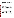for wood preservation on homes, buildings, building components, and outdoor furniture are not eligible for reregistration. Additional discussion of the risks and mitigation for this use are explained in the sections on occupational risk mitigation and environmental risk management below.

#### **Post-application residential risk mitigation; textiles and related uses**

 Residential post-application risks were estimated for dermal exposures to clothing and mattress covers treated with TBT; incidental oral exposure for toddlers mouthing treated fabric was also estimated. In all cases, MOEs were well below the target MOE of 1000. It is not likely that application rate reductions or refined estimates for fabric to skin transfer or dermal absorption would be adequate to increase these MOEs by a factor of 100 or more to the target MOE.

 Although there are no data for use in quantifying residential post-application exposures from the use of treated sponges and mop heads, the Agency is concerned about exposure to dishes, counters, floors, and other residential surfaces washed with treated sponges or mops.

 Data are also lacking for exposures associated with fiberfill or foam in upholstered furniture, carpet backing (not face fibers), treated air filters, rubber mats, canvas and other fabrics for outdoor applications (such as tarps, awnings, and tents), and webbing (used with golf driving range protective netting, netting for baseball batting cages, and tennis nets), but the Agency believes that these uses would result in negligible or no post-application residential exposure.

 Based on the risk assessment and the assumptions cited above, and in the absence of relevant data, the Agency has determined that the uses of TBT on textiles and related materials that have the potential for prolonged dermal exposure or incidental oral exposure (e.g., clothing, mattress and pillow covers and ticking, sponges, mop heads, canvas or other fabrics for furniture cushions and hammocks) are not eligible for reregistration. The uses of TBT in textiles and related materials that are not associated with prolonged human exposure (e.g., paper, fiberfill or foam in upholstered furniture (but not for mattress pads); carpet backing; air filters; rubber mats; canvas and other fabrics for tarps, awnings, and tents; and webbing used for golf course/driving range protective netting, netting for baseball batting cages, and tennis nets) are eligible for reregistration. Labeling is required to prohibit the use of paper containing TBT for direct and indirect food contact.

 Other risk mitigation measures for these uses are explained in the section on occupational handler mitigation below.

#### **d) Aggregate risk**

Aggregate risks were not estimated because risks associated with some individual contributors to post-application residential risk exceed levels of concern.

#### **e) Occupational risk mitigation--handlers**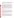US EPA ARCHIVE DOCUMENT

 Occupational handler exposures may be associated with commercial application of TBT wood preservatives, adding TBT products to cooling water, applying TBT disinfectant in farm and animal premises, manufacturing treated materials such as textiles and building materials, using TBT in oil field and petrochemical water injection systems and metalworking fluids.

#### **Cooling towers**

 TBT is currently registered for use in commercial and industrial recirculating cooling towers. For handlers adding TBT products to cooling tower water, data are not available to estimate exposures for open-pour or metering-pump applications. The Agency's practice for handler risk mitigation for this use pattern is to take into account both the volatility of the pesticide and its toxicity. In the case of TBT, volatility is not a big concern, but the toxicity of TBT suggests occupational exposures will pose risks. The Agency does not always require the closed loading systems for antimicrobial pesticides, but in the case of TBT, given its toxicity, the Agency believes that a closed loading system with a dry coupling (i.e., a system in which the TBT additive can be withdrawn from the product container via a dry coupling and fed into the cooling system without opportunity for human contact with the additive) is needed. The Agency is also believes that long pants, long-sleeved shirts, protective eyewear, and chemical resistant gloves are needed to protect handlers. The combination of these measures is expected to reduce handler exposures adequately.

 Risk management for this use also is discussed in the section on Environmental Risk Management below. Per that discussion, this use is not eligible for reregistration.

#### **Wood preservatives**

 Inhalation and dermal short- and intermediate-term risks for commercial applicators of paints and stains containing TBT were well below the target MOE, for applications both by paint brush and airless sprayer. These risk estimates are consistent with what has been estimated for residential applicators; the MOEs are the same or lower. Because of the very low MOEs and the lack of feasible mitigation options, the Agency has determined that TBT products used for wood preservation on homes, buildings, building components, and outdoor furniture are not eligible for reregistration. Additional discussion of the risk management for this use is provided in the section on environmental risk management below.

#### **Disinfectant for Farm Premises**

 Exposures for workers who apply TBT hard surface disinfectants in farm and related animal husbandry situations were assessed for several methods of application: brush-on, wipe, mop, hand held and mechanical sprayers, and hand-held foggers. The product also is applied via thermal foggers and automated foggers. The following methods are associated with dermal risk estimates below the target MOE of 100: wipe, hand-held spray, and hand-held fogger. Information was available on the effect of gloves on exposures for brush-on applications only; the use of gloves increased the MOE for this application method to a level above the target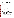MOE. Based on a comparison of with and without glove dermal risk estimates for the brush-on method, it seems likely that risk estimates for both the wipe and hand-held spray methods would be increased above the target MOE if handlers wore gloves. For inhalation exposures, all methods are associated with MOE estimates above the target except for hand-held foggers. Information is not available for estimating the impact of PPE on inhalation exposure.

 The registrant has provided information on the size of various poultry facilities that indicates the size of incubators, setters, and egg rooms is much less than the volumes the Agency assessed for handler exposures in poultry facilities. It is not clear that the size of individual incubators, etc. alone is representative of handler exposures because numerous incubators, etc. may be treated by one individual during a work day. It is anticipated that the use of an automated fogger, with appropriate precautions, would not pose inhalation risks of concern for handlers.

 The Agency has not quantified occupational handler exposure for immersion treatments of tack, tools, and equipment with TBT, or boot baths. No data are available to assess these exposures or to assess the impact of PPE on those exposures, but the Agency believes that they represent areas of concern.

 The Agency has concluded that the handler risks associated with the disinfectant use are likely to be above the target MOE for the following application methods, if PPE includes chemical-resistant gloves: brush-on, wipe, mop, hand-held sprayers, and mechanical sprayers. Data will be required on the impact of gloves on handler risks for the wipe and hand-held sprayer application methods. The application of TBT on farm premises via a hand-held fogger (thermal or otherwise) is prohibited. Additional discussion of the risks and potential mitigation measures associated with this use is provided in the sections on dietary risk mitigation (above), and postapplication occupational risk mitigation and environmental risk management (below).

#### **Materials preservatives in building materials**

 For the manufacture of treated building materials, the Agency assessed exposures to workers who add the TBT product to building materials during the production process. The exposures were modeled on the use of TBT in the caulk manufacturing process, in which a formulation of TBT is added with the other ingredients of caulk to be mixed together prior to finishing and packaging. The scenario was assessed for handlers adding TBT by pouring from an open container and by automated dispensing via a metering pump system. Data were available for evaluating the impact of gloves on handler risk. The target MOE is 100. Inhalation MOEs were well above the margin of exposure, but dermal MOEs were estimated at 36 for open-pouring and 2 for the metered pump. Systems using metered pumps typically handle greater volumes of biocide than systems in which handlers open-pour the biocide by hand.

 Although data are lacking to calculate the impact of engineering controls on handler exposure to TBT products added during the manufacture of building materials, the Agency believes that the margin of exposure can be adequately increased through use of a closed loading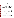system that uses a dry coupling, along with wearing long pants, long-sleeved shirts, protective eyewear, and chemical resistant gloves.

 The use of TBT in caulk and related materials is permitted by product labels, but it is now our understanding that TBT is no longer used in caulk production. The use of TBT in building materials appears to be limited to joint compound, drywall, adhesives, medium density fiber board, and particulate board. We have been informed that TBT is also used in the manufacture of grout, although grout is not specifically listed on products labels as an acceptable use site. If registrant support for this use can be confirmed, the registrant may request that grout be added to the use sites via a request for an amendment to the registration, as long as all pertinent risk mitigation measures are implemented. The Agency is requiring that TBT products for use in producing these materials, and any as-yet-unidentified but legal uses in building materials production, must be added to such materials via a closed loading system with dry coupling and the PPE discussed above.

 TBT also is used as a preservative for industrial adhesives that may be used in assembly of cardboard boxes. The Agency is not able to assess quantitatively the risks to manufacturing handlers who add TBT products to adhesives for use in cardboard boxes because there are no available exposure data specific to the corresponding scenario. Also, as in the case of the building materials discussed directly above, data are lacking to calculate the impact of engineering controls on the potential exposures of handlers adding TBT products during the adhesives production process. Drawing a parallel between these exposures and the exposures of workers adding TBT to building materials, the Agency is requiring that handlers of TBT additives for incorporation into all adhesives use closed loading systems with dry coupling, and wear long pants, long-sleeved shirts, protective eyewear, and chemical resistant gloves.

#### **Materials preservatives in textiles, paper, and related uses**

 The Agency did not assess exposures specifically for handlers involved in the treatment of textiles and related materials with TBT, but has used estimated exposures for handlers involved in the production of treated building materials to understand the potential risks (see above). For this use of TBT, the Agency found that the inhalation MOEs for both open-pour and metered pump applications were well above the target margin of exposure of 100 while dermal MOEs fell well below the target.

 The Agency believes that handler risks for textile treatment, paper production, and related use sites can be adequately addressed through use of a closed loading system with a dry coupling device, and long pants, long-sleeved shirts, protective eyewear, and chemical resistant gloves.

Post-application residential risk mitigation for these uses is discussed above.

#### **Oil field and petrochemical water injection systems**

 The Agency assessed exposures to workers who add the TBT product to water injection systems, either via an open-pouring process or a metering pump, while wearing gloves. Risks were quantified for the open-pour option only. The target MOE is 100. The inhalation and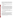dermal MOEs (both 3) fell well below the target; workers adding TBT via a metering pump system were estimated to be exposed to higher volumes of TBT solution and so the MOEs would be expected to be even lower. The Agency believes that handler risks for adding TBT into these water injection systems could be addressed through use of a closed loading system with a dry coupling device, along with wearing long pants, long-sleeved shirts, protective eyewear, and chemical resistant gloves.

 Additional discussion of the risks and potential mitigation measures associated with this use is provided in the section on environmental risk management (below). Per that discussion, this use is not eligible for reregistration.

#### **Metal working fluids**

 The Agency assessed exposure for workers adding TBT to metal working fluids via open-pouring. The target MOE is 100, and the Agency estimates that dermal risks are associated with an MOE of 21, while the inhalation MOE is estimated at 68. Risks were not quantified for other means of application such as the use of metering pumps, although it is anticipated that larger volumes of TBT products would be added in circumstances where automated equipment is used, so that exposures are potentially greater for this equipment than when the product is added by pouring. The Agency believes that handler risks for adding TBT to metal working fluids could be addressed through use of a closed loading system with a dry coupling device, along with wearing long pants, long-sleeved shirts, protective eyewear, and chemical resistant gloves.

 Additional discussion of the risks and mitigation potential for this use is provided in the section on post-application occupational risk mitigation (below). Per that discussion, this use is not eligible for reregistration.

### **f) Occupational risk mitigation—post-application**

 Occupational post-application exposures are assumed to be negligible except for workers reentering farm premises where TBT disinfectants have been applied by fogging and machinists using TBT-treated metalworking fluids.

#### **Disinfectant for Farm Premises**

 The Agency has estimated exposures for workers reentering poultry buildings after fogging treatments for various periods after the completion of treatment. The TBT farm premises product label states that after a fogging treatment, the treated area should be well-ventilated and not entered until 1 to 4 hours after fogging. If the building must be entered, the label states individuals entering the building must wear a self-contained respirator approved by NIOSH/MSHA, goggles, long sleeves and long pants. Exposures have been estimated for a person entering the building 1, 2, and 4 hours after fogging. Reentry at 1 hour after fogging is associated with an inhalation MOE of 17, well below the target MOE of 100. After two hours, the MOE is estimated to have increased to 900. The Agency is requiring that the label indicate a mandatory reentry interval of (no less than) two hours.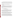Tools and equipment present during premises treatments and tack and tools treated via immersion with TBT may transfer TBT to human skin. Because of the potential for worker exposure, the immersion application is prohibited. Labels will require that tools and instruments be removed from premises prior to treatment or washed with soap and water after treatment and before re-use.

 Additional discussion of the risks and mitigation potential for this use is provided in the sections above on dietary risk mitigation, risks to domestic animals, and occupational handler risk mitigation (above), and on environmental risk management (below).

#### **Metal working fluids**

 Dermal and inhalation exposure to TBT occur after the chemical has been incorporated into the metalworking fluid and a machinist is using a TBT treated end-product. MOEs calculated for dermal and inhalation risks are 3 and 36, respectively, well below the target MOE of 100. Because feasible means of reducing exposure to metal workers are limited, e.g., machinists cannot work effectively while wearing gloves and are not reasonably expected to do so, the Agency has concluded that the use of TBT in metal working fluids is not eligible for reregistration.

 Discussion of other risks associated with this use is provided in the section on occupational handler risk mitigation (above).

#### **2. Environmental risk management**

 The Agency has assessed the ecological risks associated with the use of TBT wood preservatives on houses, parts of houses, and architectural structures. For other uses, risks have not been quantitatively assessed, primarily because data are not available to characterize environmental exposures, but these uncertainties and insights gained from the published literature have led to Agency concerns about uses that might potentially contribute to environmental concentrations of TBT and its degradates.

 Historically, TBT derivatives such at TBTO have been used in the formulation of antifouling paints. TBT antifouling paints are very efficacious, because TBT is extremely toxic to fouling organisms that attach to ship hulls (e.g., slime-producing bacteria, algae, tubeworms, barnacles) and it can be formulated into paint systems that slough off spent layers as the ship moves through the water, exposing fresh toxin and providing a long service life.

 Unfortunately, the same toxicity that makes TBT such an efficacious antifoulant represents toxicity to nontarget aquatic organisms. Marine organisms including oysters important to the seafood industry and marine snails have demonstrated serious developmental and reproductive effects at concentrations of TBT in the parts-per-trillion range. In addition, TBT is very persistent in the aquatic environment, particularly in the sediment, or benthos, where many types of aquatic animals live and feed. TBT bioaccumulates in exposed organisms, and has been shown to concentrate in the bodies of predator species including marine mammals. It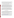has also been detected in seafood for human consumption. TBT is a known endocrine disruptor that has been shown to affect the endocrine systems of a range of species. Data are lacking for sediment toxicity, and for calculation of risk quotients for honeybees and aquatic plants. Limited non-guideline data indicate that TBT is highly phytotoxic to some algae and diatoms.

 Because of its ecological effects and widespread manifestations of ecological risk, the global community has developed an international treaty prohibiting the use of TBT antifouling systems. The prohibition will become effective in September 2008.

 In the US, the last TBT-based antifouling hull paint registration was cancelled in 2005. It remains legal to produce and sell TBT antifouling systems for two applications. TBT is incorporated into rubber for the formation of sonar domes used in US Navy vessels. This application is considered to be critical for naval operations and releases a much smaller amount of TBT into the aquatic environment than did the antifouling hull coatings. TBT is also used in antifoulant devices within oceanographic instruments deployed by government researchers to monitor global ocean conditions (i.e., conductivity sensors). The total amount of TBT present in the instruments is very small, and the use is considered to be critical by government research organizations such as the National Oceanographic and Atmospheric Administration.

 Other uses of TBT also have the potential to contaminate natural waters. In the case of the wood preservatives, the Agency is able to estimate environmental concentrations for particular applications. In the case of the use in cooling towers, immersion treatments on farm premises, petrochemical injection systems, and irrigation tubing for non-agricultural applications, data or models do not exist to allow the quantification of environmental exposures, but other evidence points to the need for risk mitigation or the use pattern suggests that aquatic contamination is possible. The remaining antifouling uses of TBT are also discussed in this section.

#### **a) Recirculating cooling towers**

 Cooling towers are designed to recirculate cooling water for a period of time before salts and debris in the cooling water necessitate the discharge of water and replacement with fresh water and biocidal additives. It is the Agency's understanding that most of the discharge is directed to municipal water treatment facilities. Evidence from California strongly suggests that the discharge of cooling water containing TBT biocide can result in levels of TBT in treated water that are higher than risk- and site-specific discharge permit levels.

 The use of TBT in cooling tower water is prohibited in nine California counties around the San Francisco Bay (Alameda, Contra Costa, Marin, Napa, San Francisco, San Mateo, Santa Clara, Solano, and Sonoma), based on the exceedance of discharge standards for the Bay, as reported by the California Department of Pesticide Regulation ([http://www.cdpr.ca.gov/docs/legbills/calcode/040301.htm\)](http://www.cdpr.ca.gov/docs/legbills/calcode/040301.htm). In 1994, the Palo Alto Regional Water Quality Control Plant calculated that the equivalent of one gallon of 2% TBT solution discharged into the sewer system and treated with other wastewater would contaminate over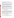US EPA ARCHIVE DOCUMENT

2 billion gallons of effluent at concentrations exceeding the 5 ppt discharge limit ([http://www.city.palo-alto.ca.us/civica/filebank/blobdload.asp?BlobID=2469\)](http://www.city.palo-alto.ca.us/civica/filebank/blobdload.asp?BlobID=2469). The City of Palo Alto concluded that even very small discharges from one or two cooling towers could place the city in violation of its discharge permit.

 The problem in the San Francisco Bay suggests that even moderate use of TBT in cooling towers can pose permit problems and a threat to nearby water bodies. It also suggests that water treatment facilities are not effective in removing TBT from the water, and the Agency is not aware of any information to the contrary. The Agency has not attempted to draw conclusions about drinking water exposure and risks from this information, but since TBT causes adverse effects in non-target organisms at extremely low concentrations, the Agency believes there is a potential for ecological risks of concern associated with the cooling tower use.

 Both the California Department of Pesticide Regulation and the City of Palo Alto have reported that effective alternatives to TBT cooling water additives are available at comparable prices (<http://www.city.palo-alto.ca.us/civica/filebank/blobdload.asp?BlobID=2469>) and ([http://www.cdpr.ca.gov/docs/emon/pubs/ehapreps/eh9507.pdf\)](http://www.cdpr.ca.gov/docs/emon/pubs/ehapreps/eh9507.pdf), and the Agency has estimated that TBT represents less than 3% cooling water biocide usage annually in the US. In the absence of additional information, these findings strongly suggest that the benefits associated with TBT cooling water additives are limited.

 For purposes of this reregistration eligibility decision, the Agency has concluded that the risks associated with the cooling tower use of TBT are unacceptable, and that this use of TBT is not eligible for reregistration. Discussion of other risks associated with this use is provided in the section on occupational handler risk mitigation (above).

#### **b) Wood preservatives**

 The Agency calculated risk quotients for the leaching into the water column of TBT from various wood preservative-treated use sites (from highest estimated environmental concentration to lowest): whole house, fences, deck posts, fence posts, decks, and transmission poles. Based on registrant-submitted toxicity data for test species, the Agency concluded that the acute risk LOC is equaled or exceeded for listed (e.g., endangered and threatened) freshwater and estuarine/marine invertebrates exposed in the water column. In addition, the published literature indicates that marine species exhibit adverse chronic effects from TBT in concentrations at or below those estimated for the same wood preservative scenarios.

 The Agency has determined that the wood preservative uses of TBT are not eligible for reregistration. Discussion of other risks associated with this use is provided in the sections on residential and occupational handler risk mitigation (above).

#### **c) Disinfectant for farm premises**

 The registrant reports that excess solution from immersion treatments with TBT is typically discharged on-site or to municipal wastewater facilities. Information was not available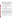specifically for disposal of used/excess boot bath solution, but the registrant has noted that this use is a very small portion of TBT use on farm premises. Based on our previously noted assumption about the inability of municipal wastewater facilities to remove or adequately reduce the concentration of TBT in wastewater, the Agency believes that excess solution may potentially contaminate farm premises, drinking water, and aquatic habitats. Based on these conclusions and the presumed low benefits of the boot bath application of TBT, the Agency believes that the environmental risks outweigh the benefits for the farm premises immersion and boot bath uses, as related to disposal of excess treatment solution. Discussion of other risk concerns associated with the immersion treatment and boot bath use is provided in the sections on occupational handler and occupational post-application risk mitigation (above).

# **d) Oil field and petrochemical injection**

The Agency believes that fluids used for these purposes may reenter groundwater and surface waters after use. Environmental concentrations in water and drinking water exposures cannot be estimated, and means of precluding environmental contamination are not apparent. This use is not eligible for reregistration.

#### **e) Irrigation tubing**

 The Agency believes that irrigation water from treated tubing may contain TBT residues that may enter groundwater and surface waters. Although such tubing is not used in agricultural settings, there is a potential for environmental exposures in water and drinking water exposures. This use is not eligible for reregistration.

#### **f) Antifouling for sonar domes and oceanographic instruments**

The Agency has recently completed a lengthy review of TBT used in antifouling systems, which culminated with the cancellation of all uses of TBT in antifouling systems used on boat and ship hulls and underwater drive units. During the course of that review, the Agency determined that the use of TBT in sonar domes is critical for U.S. military readiness. The Agency also determined that there were exceptional benefits associated with the use of TBT devices used to protect conductivity sensors in oceanographic research instruments. In addition, the quantity of TBT used in these instruments is very small. Because of the favorable benefits situation for these two uses and the very small volumes used in research instruments, the Agency has determined that these uses are eligible for reregistration. It is not anticipated that occupational risk mitigation for sonar dome production that parallels measures required for other materials preservatives will preclude the use of TBT in this critical application.

#### **3. Labeling requirements**

 In order to be eligible for reregistration, various use and safety information will be included in the labeling of all manufacturing use products containing TBT. For the specific labeling statements and a list of outstanding data, refer to Section V of this RED document.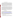#### **4.** L**isted species considerations**

Section 7 of the Endangered Species Act, 16 U.S.C. Section 1536(a)(2), requires all federal agencies to consult with the National Marine Fisheries Service (NMFS) for marine and anadromous listed species, or the United States Fish and Wildlife Services (FWS) for listed wildlife and freshwater organisms, if they are proposing an "action" that may affect listed species or their designated habitat. Each Federal agency is required under the Act to insure that any action they authorize, fund, or carry out is not likely to jeopardize the continued existence of a listed species or result in the destruction or adverse modification of designated critical habitat. To jeopardize the continued existence of a listed species means "to engage in an action that reasonably would be expected, directly or indirectly, to reduce appreciably the likelihood of both the survival and recovery of a listed species in the wild by reducing the reproduction, numbers, or distribution of the species," (50 C.F.R. § 402.02).

To facilitate compliance with the requirements of the Endangered Species Act subsection (a)(2) the Environmental Protection Agency, Office of Pesticide Programs has established procedures to evaluate whether a proposed registration action may directly or indirectly reduce appreciably the likelihood of both the survival and recovery of a listed species in the wild by reducing the reproduction, numbers, or distribution of any listed species (U.S. EPA 2004). After the Agency's screening-level risk assessment is performed, if any of the Agency's Listed Species LOC Criteria are exceeded for either direct or indirect effects, a determination is made to identify if any listed or candidate species may co-occur in the area of the proposed pesticide use. If determined that listed or candidate species may be present in the proposed use areas, further biological assessment is undertaken. The extent to which listed species may be at risk then determines the need for the development of a more comprehensive consultation package as required by the Endangered Species Act.

#### **5. General risk mitigation**

TBT end-use products (EPs) may also contain other registered pesticide active ingredients. The Agency has determined that the use of TBT in wood preservatives is not eligible for reregistration, in part because of potential risks to federally listed species. The same determination has not been made for other uses of TBT. According to published schedules for reregistration ([http://www.epa.gov/oppsrrd1/reregistration/decision\\_schedule.htm\)](http://www.epa.gov/oppsrrd1/reregistration/decision_schedule.htm) and registration review [\(http://www.epa.gov/oppsrrd1/registration\\_review/schedule\\_summary.pdf](http://www.epa.gov/oppsrrd1/registration_review/schedule_summary.pdf); schedule dated 11/07, will be updated periodically), the Agency will be evaluating other pesticides, some with end-use products that also contain a TBT active ingredient. The Agency requires that registrants adopt all listed species risk mitigation measures for all active ingredients in the product. If a product contains multiple active ingredients with conflicting listed species risk mitigation measures, the more stringent measure(s) will be adopted.

## **V. What Registrants Need to Do**

 The Agency has determined that TBT is eligible for reregistration provided that: 1) additional data that the Agency intends to require confirm this decision is submitted; 2) required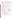label amendments are made; and 3) all other risk mitigation measures identified in this document are adopted. Required labeling amendments and the required risk mitigation measures to be implemented via revised labeling are set forth in the Label Changes Summary Table below (Table 13). TBT data requirements the Agency intends to impose will include the elements listed below in Table 12.

 Registrants of TBT products will be required respond to these data requirements within 90 days of receipt of the generic data call-in (DCI) to be issued subsequent to the release of the RED by submitting:

1. completed response forms to the generic DCI (i.e., DCI response form and requirements status and registrant's response form); and

2. any time extension and/or waiver requests with a full written justification.

 Furthermore, within the time limit specified in the generic DCI, the registrants must cite any existing generic data which address data requirements or submit new generic data responding to the DCI.

Please contact Jill Bloom at (703) 308-8019 or bloom.jill@epa.gov with questions regarding generic reregistration. Mail delivery addresses:

By US mail: By express or courier service: Document Processing Desk Document Processing Desk Jill Bloom Jill Bloom Office of Pesticide Programs (7508P) Office of Pesticide Programs (7508P) U.S. Environmental Protection Agency U.S. Environmental Protection Agency 1200 Pennsylvania Ave., NW Room S-4900, One Potomac Yard Washington, DC 20460-0001 2777 South Crystal Drive

Arlington, VA 22202

For end-use products containing the active ingredients TBT, registrants must submit the following items for each product:

# **Within 90 days from the receipt of the product-specific data call-in (PDCI)**:

1. completed response forms to the PDCI (i.e., PDCI response form and requirements status and registrant's response form); and

2. any time extension or waiver requests with a full written justification.

# **Within eight months from the receipt of the PDCI:**

1. two copies of the confidential statement of formula (EPA Form 8570-4);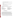2. a completed original application for reregistration (EPA Form 8570-1). Indicate on the form that it is an "application for reregistration";

3. five copies of the draft label incorporating all label amendments outlined in Table 13 of this document;

4. a completed form certifying compliance with data compensation requirements (EPA Form 8570-34);

5. if applicable, a completed form certifying compliance with cost share offer requirements (EPA Form 8570-32); and

6. the product-specific data responding to the PDCI.

 Please contact Marshall Swindell at (703) 308-6341 with questions regarding product reregistration and/or the PDCI. All materials submitted in response to the PDCI must be addressed as follows:

By US mail: By express or courier service: Document Processing Desk Document Processing Desk Marshall Swindell Marshall Swindell Office of Pesticide Programs (7510P) Office of Pesticide Programs (7510P) 1200 Pennsylvania Ave., NW Room S-4900, One Potomac Yard Washington, DC 20460-0001 2777 South Crystal Drive

U.S. Environmental Protection Agency U.S. Environmental Protection Agency Arlington, VA 22202

#### **A. Manufacturing use products**

#### **1. Generic Data Requirements**

The generic database supporting the reregistration of TBT has been reviewed and reregistration eligibility decisions have been made for the various uses of TBT. The following data requirements have been identified by the Agency as needed to facilitate a refined assessment of TBT and to determine if any adjustments need to be made to the TBT registrations. In some cases, data gaps are cited for the support of uses deemed not eligible for reregistration. These data would be the kind of data EPA would require if a reconsideration of the eligibility decisions for specific uses appeared to be warranted. Such data submissions are likely to be evaluated as a part of the registration review project, although the Agency has not yet scheduled the assessment of TBT active ingredients that will take place under registration review. Pesticides in registration review generally undergo reassessment on a 15-year cycle.

A generic data call-in (DCI) will be issued at a later date for the TBT active ingredients. Table 11 provides a summary of data gaps, but distinctions are not made for the three different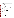TBT compounds. The generic DCI will detail and confirm the data required to be submitted for each active ingredient.

| Table 11. Data Requirements for Reregistration of Tributyltin Oxide, Tributyltin |
|----------------------------------------------------------------------------------|
| <b>Benzoate, and Tributyltin Maleate</b>                                         |

| <b>Guideline</b><br><b>Number</b>                                        | <b>Study Title</b>                                                        |
|--------------------------------------------------------------------------|---------------------------------------------------------------------------|
| 171-4 & 850.3020                                                         | Honey/beeswax residues and acute toxicity of treated materials to<br>bees |
| 850.1735                                                                 | Whole sediment: acute freshwater invertebrates                            |
| 850.1740                                                                 | Whole sediment: acute marine invertebrates                                |
| No Guideline                                                             | Whole sediment: chronic invertebrates                                     |
|                                                                          | Freshwater diatom; TGAI or EP<br>Marine diatom; TGAI or EP                |
| 850.5400                                                                 | Blue-green cyanobacteria; TGAI or EP                                      |
|                                                                          | Freshwater green alga; TGAI or EP                                         |
| 850.4400                                                                 | Freshwater floating macrophyte duckweed; TGAI or EP                       |
| 850.4225                                                                 | Freshwater rooted macrophyte rice seedling emergence; EP                  |
| 850.4250                                                                 | Freshwater rooted macrophyte rice vegetative vigor; EP                    |
| 860.1300, .1340,<br>Residues in meat, milk, and eggs<br>.1380, and .1480 |                                                                           |
| 870.1200                                                                 | <b>Acute Dermal - Rabbit</b>                                              |
| 870.1300                                                                 | Acute Inhalation - Rat                                                    |
| 870.2400                                                                 | Primary Eye Irritation - Rabbit                                           |
| 870.2500                                                                 | Primary Dermal Irritation - Rabbit                                        |
| 870.2600                                                                 | <b>Dermal Sensitization</b>                                               |
| 870.3250                                                                 | 90-day Dermal Toxicity - Rodent                                           |
| 870.3700                                                                 | Developmental Toxicity – rodent                                           |
| 870.5100 to .5915                                                        | Mutagenicity                                                              |
| 875.1200, .1600                                                          | Dermal Indoor Exposure (inc. impact of chemical resistant gloves)         |
| 875.1400                                                                 | <b>Indoor Inhalation Monitoring</b>                                       |
| 875.1700, .2700                                                          | Product Use Information (handler, post-application)                       |
| 875.2800                                                                 | Description of Human Activity (post-application)                          |

 Appendix B to this RED shows the data requirements that will be imposed for each active ingredient based on specific use sites.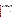# **2. Labeling for technical and manufacturing use products**

 To ensure compliance with FIFRA, technical and manufacturing-use product (MP) labeling must be revised to comply with all current EPA regulations, PR Notices and applicable policies. According to the timeline for label changes, technical and MUP labeling must bear the language shown in Table 12, Label Changes Table.

# **B. End-use products**

## **1. Product-specific data requirements**

Section  $4(g)(2)(B)$  of FIFRA calls for the Agency to obtain any needed product-specific data for a pesticide after a determination of eligibility has been made. The registrant must review previous data submissions to ensure that they meet current EPA acceptance criteria and if not, commit to conduct new studies. If a registrant believes that previously submitted data meet current testing standards, then the study MRID numbers should be cited according to the instructions in the Requirement Status and Registrants Response Form provided for each product. A product-specific data call-in, outlining the required data for each product or set of products, will be sent to registrants at a later date.

# **2. Labeling for end-use products**

 Labeling changes are necessary to implement measures outlined in Section IV above. Specific language to incorporate these changes is specified in Table 13, Label Changes Table.

 Registrants may generally distribute and sell products bearing old labels/labeling for 26 months from the date of the issuance of this Reregistration Eligibility Decision document. Persons other than the registrant may generally distribute or sell such products for 52 months from the approval of labels reflecting the mitigation described in this RED. However, existing stocks time frames will be established case-by-case, depending on the number of products involved, the number of label changes, and other factors. Refer to "Existing Stocks of Pesticide Products; Statement of Policy," *Federal Register*, Volume 56, No.123, June 26, 1991.

# **3. Label changes summary table**

 In order to be eligible for reregistration, all product labels must be amended to incorporate the risk mitigation measures outlined in Section IV of the TBT RED. The following table describes how language on the labels should be amended.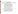| for Manufacturing Use Products containing TBT |                                                                                                                                                                                                                                                                                                                                                                                                                                                                                                                                                                                                                                                                                                                                                                                                                                                                                                                                                                                                                                                                                                                                                                                                                                                                                                       |                                 |  |  |  |
|-----------------------------------------------|-------------------------------------------------------------------------------------------------------------------------------------------------------------------------------------------------------------------------------------------------------------------------------------------------------------------------------------------------------------------------------------------------------------------------------------------------------------------------------------------------------------------------------------------------------------------------------------------------------------------------------------------------------------------------------------------------------------------------------------------------------------------------------------------------------------------------------------------------------------------------------------------------------------------------------------------------------------------------------------------------------------------------------------------------------------------------------------------------------------------------------------------------------------------------------------------------------------------------------------------------------------------------------------------------------|---------------------------------|--|--|--|
| <b>Description</b>                            | <b>Amended Labeling Language</b>                                                                                                                                                                                                                                                                                                                                                                                                                                                                                                                                                                                                                                                                                                                                                                                                                                                                                                                                                                                                                                                                                                                                                                                                                                                                      | <b>Placement on Label</b>       |  |  |  |
| For all<br>manufacturing-use<br>products      | "This product may be formulated into products for the following uses only:<br>farm and animal premises when animals and eggs have been removed<br>(livestock housing, kennels, veterinary clinics, animal laboratories, breeding<br>facilities, hatcheries, egg rooms, egg trucks, incubators, and setters, but not<br>tack, tools, equipment, or boot baths), fiberfill, polyurethane foam (except in<br>mattress covers), carpet backing, air filters, rubber mats, canvas and other<br>textiles with outdoor applications (tarps, tents, and awnings, but not furniture<br>components or hammocks), webbing for nets in sports applications (golf<br>courses/driving ranges, batting cages, tennis nets), paper (except in paper with<br>direct or indirect food contact), adhesives, particulate board, medium density<br>fiberboard, drywall, grout, joint compound, sonar domes, and in antifoulant<br>devices within oceanographic instruments (conductivity sensors)."<br>"Not for formulating wood preservatives, paints, or stains; cooling<br>tower/cooling water treatments; antifouling paints for ships, boats, fish nets, or<br>crab, bass, or lobster pots; oilfield and petrochemical injection fluids; or metal<br>working fluids. Not for use in manufacturing irrigation tubing." | Directions for Use              |  |  |  |
| Environmental<br><b>Hazards Statement</b>     | "This pesticide is toxic to fish and aquatic invertebrates. Do not contaminate<br>water when disposing of equipment washwaters. Do not discharge effluent<br>containing this product into lakes, streams, ponds, estuaries, oceans, or other<br>waters unless in accordance with the requirements of a National Pollutant<br>Discharge Elimination System (NPDES) permit and the permitting authorities<br>are notified in writing prior to discharge. Do not discharge effluent containing<br>this product to sewer systems without previously notifying the local sewage<br>treatment plant authority. For guidance contact your State Water Board or<br>Regional Office of the EPA."                                                                                                                                                                                                                                                                                                                                                                                                                                                                                                                                                                                                               | <b>Precautionary Statements</b> |  |  |  |

# **Table 12. Labeling Changes Summary Table for Products Containing TBT**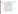| for End-Use Products containing TBT                              |                                                                                                                                                                                                                                                                                                                                                                                                                                                                                                                                                                                                                                                                                                                                                                                                                                                                                                                                                                                                                                                                                                                                                                                                                                                                                                                                                                                                                                     |                                 |  |  |
|------------------------------------------------------------------|-------------------------------------------------------------------------------------------------------------------------------------------------------------------------------------------------------------------------------------------------------------------------------------------------------------------------------------------------------------------------------------------------------------------------------------------------------------------------------------------------------------------------------------------------------------------------------------------------------------------------------------------------------------------------------------------------------------------------------------------------------------------------------------------------------------------------------------------------------------------------------------------------------------------------------------------------------------------------------------------------------------------------------------------------------------------------------------------------------------------------------------------------------------------------------------------------------------------------------------------------------------------------------------------------------------------------------------------------------------------------------------------------------------------------------------|---------------------------------|--|--|
| <b>Description</b>                                               | <b>Amended Labeling Language</b>                                                                                                                                                                                                                                                                                                                                                                                                                                                                                                                                                                                                                                                                                                                                                                                                                                                                                                                                                                                                                                                                                                                                                                                                                                                                                                                                                                                                    | <b>Placement on Label</b>       |  |  |
| For all end-use<br>products<br>containing TBTO,<br>TBTB, or TBTM | Allowable use sites for an end-use product are one or more of the following:<br>farm and animal premises when animals and eggs have been removed<br>(livestock housing, kennels, veterinary clinics, animal laboratories, breeding<br>facilities, hatcheries, egg rooms, egg trucks, incubators, and setters but not tack,<br>tools, equipment, or boot baths), fiberfill, polyurethane foam (except in<br>mattress covers), carpet backing, air filters, rubber mats, canvas and other<br>textiles with outdoor applications (tarps, tents, and awnings, but not furniture<br>components or hammocks), webbing for nets in sports applications (golf<br>courses/driving ranges, batting cages, tennis nets), paper (except in paper with<br>direct or indirect food contact), adhesives, particulate board, medium density<br>fiberboard, drywall, grout, joint compound, sonar domes, and in antifoulant<br>devices within oceanographic instruments (conductivity sensors)."<br>The registrant must list the allowable use $site(s)$ on the product label. The<br>registrant must not label a product containing TBT with any of the following<br>uses: wood preservatives, paints, or stains; cooling tower/cooling water<br>treatments; oilfield and petrochemical injection fluids; metal working fluids;<br>antifouling paints for use on ships, boats, fish nets, or crab, bass, or lobster<br>pots; or irrigation tubing." | Directions for Use              |  |  |
| Environmental<br><b>Hazards Statement</b>                        | "This pesticide is toxic to fish and aquatic invertebrates. Do not contaminate<br>water when disposing of equipment washwaters. Do not discharge effluent<br>containing this product into lakes, streams, ponds, estuaries, oceans, or other<br>waters unless in accordance with the requirements of a National Pollutant<br>Discharge Elimination System (NPDES) permit and the permitting authorities<br>are notified in writing prior to discharge. Do not discharge effluent containing<br>this product to sewer systems without previously notifying the local sewage<br>treatment plant authority. For guidance contact your State Water Board or<br>Regional Office of the EPA."                                                                                                                                                                                                                                                                                                                                                                                                                                                                                                                                                                                                                                                                                                                                             | <b>Precautionary Statements</b> |  |  |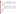| for End-Use Products containing TBT                                                                                                                                                             |                                                                                                                                                                                                                                                                                                                                                                                                                       |                                                                                                                                                                           |  |  |
|-------------------------------------------------------------------------------------------------------------------------------------------------------------------------------------------------|-----------------------------------------------------------------------------------------------------------------------------------------------------------------------------------------------------------------------------------------------------------------------------------------------------------------------------------------------------------------------------------------------------------------------|---------------------------------------------------------------------------------------------------------------------------------------------------------------------------|--|--|
| <b>Description</b>                                                                                                                                                                              | <b>Amended Labeling Language</b>                                                                                                                                                                                                                                                                                                                                                                                      | <b>Placement on Label</b>                                                                                                                                                 |  |  |
| Personal<br>Protective<br>Equipment (for all<br>use sites except<br>antifouling devices<br>in conductivity<br>sensors for<br>oceanographic<br>instruments)                                      | "Handlers must wear long sleeve shirts, long pants, socks, shoes, protective<br>eyewear, and chemical resistant gloves. Materials that are chemically resistant<br>to this product include [registrant must provide examples of chemical resistant<br>materials here]."                                                                                                                                               | <b>Precautionary Statements:</b><br>Hazards to Humans and<br><b>Domestic Animals</b>                                                                                      |  |  |
| <b>User Safety</b><br>Requirements                                                                                                                                                              | "Follow manufacturer's instructions for cleaning/maintaining Personal<br>Protective Equipment. If no such instructions for washables exist, use<br>detergent and hot water. Keep and wash Personal Protective Equipment<br>separately from other laundry."<br>"Discard clothing and other absorbent materials that have been drenched or<br>heavily contaminated with this product's concentrate. Do not reuse them." | <b>Precautionary Statements:</b><br>Hazards to Humans and<br><b>Domestic Animals</b><br>immediately following the<br><b>Personal Protective</b><br>Equipment requirements |  |  |
| Engineering<br>controls (for all<br>use sites except<br>farm and animal<br>premises<br>treatments and<br>antifouling devices<br>in conductivity<br>sensors for<br>oceanographic<br>instruments) | "Handlers must use closed loading systems with dry coupling for introducing<br>this material into treatment and manufacturing systems."                                                                                                                                                                                                                                                                               | <b>Immediately following User</b><br><b>Safety Requirements</b>                                                                                                           |  |  |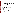| for End-Use Products containing TBT                                                             |                                                                                                                                                                                                                                                                                                                                                                                                                                                                                                                               |                                                                                                                                              |  |  |
|-------------------------------------------------------------------------------------------------|-------------------------------------------------------------------------------------------------------------------------------------------------------------------------------------------------------------------------------------------------------------------------------------------------------------------------------------------------------------------------------------------------------------------------------------------------------------------------------------------------------------------------------|----------------------------------------------------------------------------------------------------------------------------------------------|--|--|
| <b>Description</b>                                                                              | <b>Amended Labeling Language</b>                                                                                                                                                                                                                                                                                                                                                                                                                                                                                              | <b>Placement on Label</b>                                                                                                                    |  |  |
| <b>User Safety</b><br>Recommendations                                                           | "User Safety Recommendations"<br>"Users should wash hands before eating, drinking, chewing gum, using<br>tobacco, or using the toilet."<br>"Users should remove clothing/ Personal Protective Equipment immediately if<br>pesticide gets inside. Then wash thoroughly and put on clean clothing."<br>"Users should remove Personal Protective Equipment immediately after<br>handling this product."<br>"Wash the outside of gloves before removing. As soon as possible, wash<br>thoroughly and change into clean clothing." | <b>Precautionary Statements:</b><br>Hazards to Humans and<br><b>Domestic Animals</b><br>immediately following<br><b>Engineering Controls</b> |  |  |
| General<br>Application<br>Restrictions                                                          | "Do not apply this product in a way that will contact workers or other persons,<br>either directly or through drift. Only protected handlers may be in the area<br>during application."                                                                                                                                                                                                                                                                                                                                       | Directions for Use                                                                                                                           |  |  |
| Entry restrictions<br>for products with<br>directions for use<br>on farm and<br>animal premises | "Do not re-enter treated area for at least 2 hours after treatment is complete."                                                                                                                                                                                                                                                                                                                                                                                                                                              | Directions for Use                                                                                                                           |  |  |
| Site-Specific<br>Directions for Use                                                             | End-use product labels must be amended to contain directions for use only on<br>the allowed use sites. All other use sites and the corresponding directions for<br>use must be removed from end-use product labels.<br>"Do not use materials containing TBT for underwater uses on wood, textiles, or<br>rope."                                                                                                                                                                                                               | Directions for Use<br>associated with the specific<br>use site                                                                               |  |  |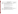| for End-Use Products containing TBT                                                       |                                                                                                                                                                                                                                                                                                                                                                                                                                |                                                                |  |  |
|-------------------------------------------------------------------------------------------|--------------------------------------------------------------------------------------------------------------------------------------------------------------------------------------------------------------------------------------------------------------------------------------------------------------------------------------------------------------------------------------------------------------------------------|----------------------------------------------------------------|--|--|
| <b>Description</b>                                                                        | <b>Amended Labeling Language</b>                                                                                                                                                                                                                                                                                                                                                                                               | <b>Placement on Label</b>                                      |  |  |
| Site-Specific<br>Directions for<br>Use: Farm/animal<br>premises uses                      | "Animals and eggs must be removed from premises prior to treatment of<br>premises and surfaces within premises. Animals must not be returned to<br>premises for at least 48 hours following the conclusion of treatment. Remove<br>all feeding and watering bowls and containers prior to treatment, or wash with<br>soap and water after treatment and before re-use."                                                        |                                                                |  |  |
|                                                                                           | "Do not use as immersion treatment. Do not treat tack or tools or other<br>equipment that come into direct contact with animals; remove from premises<br>prior to treatment or wash with soap and water after treatment and prior to re-<br>use."                                                                                                                                                                              |                                                                |  |  |
|                                                                                           | "Do not use in boot baths or otherwise on footwear."                                                                                                                                                                                                                                                                                                                                                                           |                                                                |  |  |
|                                                                                           | "Application is prohibited via hand-held foggers, thermal or otherwise.<br>Applications may only be applied via brush, wipe, mop, hand-held and<br>mechanical sprayers, or automated foggers when handlers are wearing required<br>personal protective equipment."                                                                                                                                                             |                                                                |  |  |
| Site-Specific<br>Directions for<br>Use: Treatment of<br>textiles and related<br>materials | "Do not use on clothing, mattress and pillow covers and ticking, sponges, mop<br>heads, upholstery fabric, covers of furniture cushions or parts of furniture<br>which contact human skin during normal use, hammocks, or materials that will<br>be used to make these items, or as a laundry treatment. Do not use on textiles<br>for applications with potential for direct contact with human skin. Do not use<br>on rope." | Directions for Use<br>associated with the specific<br>use-site |  |  |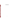# **VI. APPENDICES**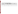| $\mathbf{L}$                                                  |                    |                    |                                |                        |  |  |  |
|---------------------------------------------------------------|--------------------|--------------------|--------------------------------|------------------------|--|--|--|
| <b>Table of Representative Use Patterns for TBT Compounds</b> |                    |                    |                                |                        |  |  |  |
| <b>Use Site</b>                                               | <b>Formulation</b> | <b>Method of</b>   | <b>Application Rate/No. of</b> | <b>Use Limitations</b> |  |  |  |
|                                                               |                    | <b>Application</b> | applications <sup>a</sup>      |                        |  |  |  |
| <b>Materials Preservative</b>                                 |                    |                    |                                |                        |  |  |  |
|                                                               |                    |                    |                                |                        |  |  |  |
|                                                               |                    |                    |                                |                        |  |  |  |
|                                                               |                    |                    |                                |                        |  |  |  |
|                                                               |                    |                    |                                |                        |  |  |  |
|                                                               |                    |                    |                                |                        |  |  |  |

# **Appendix A. Table of Representative Use Patterns for TBTO, TBTB, TBTM**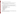# **Appendix B. Generic Data and Studies Used for the Reregistration Decision**

Guide to Appendix B

 Appendix B contains listing of data requirements which support the reregistration for active ingredients within case #4122 (organic esters of phosphoric acid) covered by this RED. It contains generic data requirements that apply to organic esters of phosphoric acid in all products, including data requirements for which a "typical formulation" is the test substance.

The data table is organized in the following formats:

 1. Data Requirement (Column 1). The data requirements are listed in the order in which they appear in 40 CFR part 158. The reference numbers accompanying each test refer to the test protocols set in the Pesticide Assessment Guidance, which are available from the National technical Information Service, 5285 Port Royal Road, Springfield, VA 22161 (703) 487-4650.

 2. Use Pattern (Column 4). This column indicates the use patterns for which the data requirements apply. The following letter designations are used for the given use patterns.

(1) Agricultural premises and equipment

(2) Food handling/ storage establishment premises and equipment

(3) Commercial, institutional and industrial premises and equipment

(4) Residential and public access premises

(5) Medical premises and equipment

(6) Human water systems

(7) Materials preservatives

(8) Industrial processes and water systems

(9) Antifouling coatings

(10) Wood preservatives

(11) Swimming pools

(12) Aquatic areas

Bibliographic Citation (Column 5). If the Agency has acceptable data in its files, this column list the identify number of each study. This normally is the Master Record Identification (MRID) number, but may be a "GS" number if no MRID number has been assigned. Refer to the Bibliography appendix for a complete citation of the study.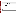|                                                 | <b>CITATION(S)</b>                       |                                                     |                    |  |
|-------------------------------------------------|------------------------------------------|-----------------------------------------------------|--------------------|--|
| <b>New</b><br><b>Guideline</b><br><b>Number</b> | Old<br><b>Guideline</b><br><b>Number</b> | <b>Study Title</b>                                  | <b>MRID Number</b> |  |
|                                                 |                                          | PRODUCT CHEMISTRY                                   |                    |  |
| 830.1550                                        | $61-1$                                   | Product Identity and Composition                    |                    |  |
| 830.1600<br>830.1620<br>830.1650                | $61-2a$                                  | <b>Starting Materials and Manufacturing Process</b> |                    |  |
| 830.1670                                        | $61-2b$                                  | Formation of Impurities                             |                    |  |
| 830.1700                                        | $62 - 1$                                 | Preliminary Analysis                                |                    |  |
| 830.1750                                        | $62 - 2$                                 | <b>Certification of Limits</b>                      |                    |  |
| 830.1800                                        | $62 - 3$                                 | <b>Analytical Method</b>                            |                    |  |
| 830.6302                                        | $63-2$                                   | Color                                               |                    |  |
| 830.6303                                        | $63-3$                                   | <b>Physical State</b>                               |                    |  |
| 830.6304                                        | $63-4$                                   | Odor                                                |                    |  |
| 830.7200                                        | $63 - 5$                                 | <b>Melting Point</b>                                |                    |  |
| 830.7220                                        | $63 - 6$                                 | <b>Boiling Point</b>                                |                    |  |
| 830.7300                                        | $63 - 7$                                 | Density                                             |                    |  |
| 830.7840<br>830.7860                            | $63 - 8$                                 | Solubility                                          |                    |  |
| 830.7950                                        | 63-9                                     | <b>Vapor Pressure</b>                               |                    |  |
| 830.7370                                        | $63 - 10$                                | <b>Dissociation Constant in Water</b>               |                    |  |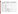| <b>DATA REQUIREMENT</b>                         |                                                                                                |                                               |                    | <b>CITATION(S)</b> |
|-------------------------------------------------|------------------------------------------------------------------------------------------------|-----------------------------------------------|--------------------|--------------------|
| <b>New</b><br><b>Guideline</b><br><b>Number</b> | Old<br><b>Use</b><br><b>Guideline</b><br><b>Study Title</b><br><b>Pattern</b><br><b>Number</b> |                                               | <b>MRID Number</b> |                    |
| 830.7550<br>830.7560<br>830.7570                | $63 - 11$                                                                                      | Partition Coefficient (Octanol/Water)         |                    |                    |
| 830.7000                                        | $63 - 12$                                                                                      | pH                                            |                    |                    |
| 830.6313                                        | $63 - 13$                                                                                      | Stability                                     |                    |                    |
| 830.6314                                        | $63 - 14$                                                                                      | Oxidizing/Reducing Action                     |                    |                    |
| 830.6315                                        | $63 - 15$                                                                                      | Flammability                                  |                    |                    |
| 830.6316                                        | $63 - 16$                                                                                      | Explodability                                 |                    |                    |
| 830.6317                                        | $63 - 17$                                                                                      | <b>Storage Stability</b>                      |                    |                    |
| 830.7100                                        | $63-18$                                                                                        | Viscosity                                     |                    |                    |
| 830.6319                                        | $63-19$                                                                                        | Miscibility                                   |                    |                    |
| 830.6320                                        | 63-20                                                                                          | <b>Corrosion Characteristics</b>              |                    |                    |
| 830.6321                                        | $63 - 21$                                                                                      | Dielectric breakdown voltage                  |                    |                    |
|                                                 |                                                                                                | <b>ECOLOGICAL EFFECTS</b>                     |                    |                    |
| 850.2100                                        | $71-1$                                                                                         | <b>Avian Acute Oral Toxicity Test</b>         |                    |                    |
| 850.1075                                        | $72-1$                                                                                         | Acute Freshwater Fish (bluegill)              |                    |                    |
| 850.1075                                        | $72-1$                                                                                         | Acute Freshwater Fish (rainbow trout)         |                    |                    |
| 850.1010                                        | $72-2$                                                                                         | Acute Freshwater Invertebrate (daphnia magna) |                    |                    |
|                                                 |                                                                                                | <b>TOXICOLOGY</b>                             |                    |                    |
| 870.1100                                        | $81 - 1$                                                                                       | Acute Oral - Rat                              |                    |                    |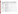| <b>DATA REQUIREMENT</b>                         |                                          |                                                            |                              | <b>CITATION(S)</b> |
|-------------------------------------------------|------------------------------------------|------------------------------------------------------------|------------------------------|--------------------|
| <b>New</b><br><b>Guideline</b><br><b>Number</b> | Old<br><b>Guideline</b><br><b>Number</b> | <b>Study Title</b>                                         | <b>Use</b><br><b>Pattern</b> | <b>MRID Number</b> |
| 870.1200                                        | $81 - 2$                                 | Acute Dermal - Rabbit                                      |                              |                    |
| 870.1300                                        | $81-3$                                   | Acute Inhalation - Rat                                     |                              |                    |
| 870.2400                                        | $81 - 4$                                 | Primary Eye Irritation - Rabbit                            |                              |                    |
| 870.2500                                        | $81 - 5$                                 | Primary Dermal Irritation - Rabbit                         |                              |                    |
| 870.2600                                        | $81 - 6$                                 | <b>Dermal Sensitization</b>                                |                              |                    |
|                                                 | $82-1a$                                  | 90-Day Feeding-Rodent                                      |                              |                    |
| 870.3100                                        |                                          |                                                            |                              |                    |
| 870.3200                                        | $82 - 2$                                 | 21/28-Day Dermal Toxicity - Rat                            |                              |                    |
| 870.3250                                        | $82 - 3$                                 | 90-day Dermal Toxicity – Rodent                            |                              |                    |
| 870.3465                                        | $82 - 4$                                 | 90-Day Inhalation - Rat                                    |                              |                    |
| 870.3700a                                       | $83-3a$                                  | Developmental Toxicity – rodent                            |                              |                    |
| 870.3700                                        | $83-3b$                                  | Teratogenicity - Rabbit                                    |                              |                    |
| 870.3800                                        | 83-4                                     | Reproduction and Fertility Effects - 2 Generation<br>Repro |                              |                    |
|                                                 | $83-1a$                                  | Chronic Feeding Toxicity - Rodent                          |                              |                    |
| 870.4100                                        | $83-1b$                                  | Chronic Feeding Toxicity - Non-Rodent (dog)                |                              |                    |
|                                                 | $83-2a$                                  | Oncogenicity - Rat                                         |                              |                    |
| 870.4200                                        | $83-2b$                                  | Oncogenicity - Mouse                                       |                              |                    |
| 870.4300                                        | $83 - 5$                                 | Combined Chronic Toxicity/Carcinogenicity                  |                              |                    |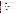| <b>DATA REQUIREMENT</b>                         |                                                                                                |                                                                                                                                                           |  | <b>CITATION(S)</b> |
|-------------------------------------------------|------------------------------------------------------------------------------------------------|-----------------------------------------------------------------------------------------------------------------------------------------------------------|--|--------------------|
| <b>New</b><br><b>Guideline</b><br><b>Number</b> | Old<br><b>Use</b><br><b>Guideline</b><br><b>Study Title</b><br><b>Pattern</b><br><b>Number</b> |                                                                                                                                                           |  | <b>MRID Number</b> |
| 870.5100                                        | $84 - 2$                                                                                       | Bacterial reverse mutation test                                                                                                                           |  |                    |
| 870.5300                                        |                                                                                                | In Vitro mammalian cell gene mutation test                                                                                                                |  |                    |
| 870.5265                                        | $84-2a$                                                                                        | Gene Mutation – ames                                                                                                                                      |  |                    |
| 870.5385                                        | $84-2b$                                                                                        | <b>Structural Chromosome Aberration</b>                                                                                                                   |  |                    |
| 870.5395                                        | $84 - 2$                                                                                       | In Vivo mammalian micronucleus test /Mammalian<br>erythrocyte micronucleus test                                                                           |  |                    |
| 870.5450                                        |                                                                                                | Rodent dominant lethal assay                                                                                                                              |  |                    |
| 870.5900                                        | $84 - 2$                                                                                       | Mammalian cytogenetics (sister chromatid<br>exchange)- hamster                                                                                            |  |                    |
| 870.7485                                        | $85 - 1$                                                                                       | General Metabolism                                                                                                                                        |  |                    |
| 870.7600                                        | $85 - 2$                                                                                       | <b>Dermal Absorption</b>                                                                                                                                  |  |                    |
|                                                 |                                                                                                |                                                                                                                                                           |  |                    |
|                                                 |                                                                                                | OCCUPATIONAL/RESIDENTIAL EXPOSURE                                                                                                                         |  |                    |
| 875.2300                                        | $133 - 3$                                                                                      | Indoor Surface Residue Dissipation (Dermal Residue<br>Transfer Studies for Textiles/Clothing,<br>Mattress/Mattress Ticking and Carpet<br>Shampoo/Cleaner) |  |                    |
| 875.1200                                        | 233                                                                                            | Dermal Indoor Exposure                                                                                                                                    |  |                    |
| 875.1400                                        | 234                                                                                            | <b>Inhalation Indoor Exposure</b>                                                                                                                         |  |                    |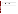| <b>DATA REQUIREMENT</b>                         |                                          |                                                      |                              | <b>CITATION(S)</b> |
|-------------------------------------------------|------------------------------------------|------------------------------------------------------|------------------------------|--------------------|
| <b>New</b><br><b>Guideline</b><br><b>Number</b> | Old<br><b>Guideline</b><br><b>Number</b> | <b>Study Title</b>                                   | <b>Use</b><br><b>Pattern</b> | <b>MRID Number</b> |
| 875.1600                                        |                                          | <b>Applicator Exposure Monitoring Data Reporting</b> |                              |                    |
| 875.1700                                        |                                          | <b>Product Use Information</b>                       |                              |                    |
| 875.2700                                        |                                          |                                                      |                              |                    |
| 875.2800                                        | $133 - 1$                                | Description of Human Activity                        |                              |                    |
| 875.2900                                        | 134                                      | Data Reporting and Calculations                      |                              |                    |
| <b>ENVIRONMENTAL FATE</b>                       |                                          |                                                      |                              |                    |
| 835.2120                                        | $161-1$                                  | <b>Hydrolysis</b>                                    |                              |                    |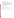# **Appendix C. Technical Support Documents**

 Additional documentation in support of this RED is maintained in the OPP docket, located in Room S-4400, One Potomac Yard, 2777 South Crystal Drive, Arlington, VA, and is open Monday through Friday, excluding Federal holidays, from 8:30 a.m. to 4:00 p.m.

 The docket initially contained the April 19, 2006 preliminary risk assessment and the related supporting science documents. EPA then considered comments on the risk assessment and revised the risk assessment and supporting chapters as necessary. The revised risk assessment will be posted in the docket at the same time as the RED.

 All documents, in hard copy form, may be viewed in the OPP docket room or downloaded or viewed via the Internet at the following site:

#### http://www.regulations.gov

These documents include:

Preliminary Risk Assessment; Notice of Availability, /08.

Preliminary Risk Assessment and Supporting Science Documents (RED Supporting Documents):

Revised Risk Assessment and Revised Supporting Science Documents (RED Supporting Documents):

US EPA ARCHIVE DOCUMENT

•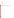**Appendix D. Bibliography** 

**Bibliography**

**MRID #** Citations

**Other Supporting Documents** 

# **Web References**

HERA. 2003. Human and Environmental Risk Assessment, Guidance Document Methodology, April 22, 2002 [\(http://www.heraproject.com/files/Guidancedocument.pdf](http://www.heraproject.com/files/Guidancedocument.pdf)).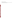# **Appendix E. Generic Data Call-In**

The Agency intends to issue a Generic Data Call-In at a later date. See Chapter V of the RED for a list of studies that the Agency plans to require.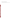# **Appendix F. Product Specific Data Call-In**

The Agency intends to issue a Product Specific Data Call-In at a later date.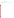# **Appendix G. Batching of TBT End-use Products**

The Agency will complete the batching for acute toxicity data requirements for reregistration at a later date.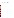# **Appendix H. List of All Registrants Sent the Data Call-In**

A list of registrants sent the data call-in will be posted at a later date.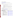## **Appendix I. List of Available Forms**

Pesticide Registration Forms are available at the following EPA internet site: <http://www.epa.gov/opprd001/forms/> .

Pesticide Registration Forms (These forms are in PDF format and require the Acrobat reader)

## **Instructions**

- 1. Print out and complete the forms. (Note: Form numbers that are bolded can be filled out on your computer then printed.)
- 2. The completed form(s) should be submitted in hardcopy in accord with the existing policy.
- 3. Mail the forms, along with any additional documents necessary to comply with EPA regulations covering your request, to the address below for the Document Processing Desk.

DO NOT fax or e-mail any form containing 'Confidential Business Information' or 'Sensitive Information.'

If you have any problems accessing these forms, please contact Nicole Williams at (703) 308- 5551 or by e-mail at [williams.nicole@epamail.epa.gov.](mailto:williams.nicole@epamail.epa.gov)

The following Agency Pesticide Registration Forms are currently available via the internet at the following locations:

| <b>Document</b><br>Number | <b>Document Name</b>                                                                                        | <b>URL</b>                                        |
|---------------------------|-------------------------------------------------------------------------------------------------------------|---------------------------------------------------|
| 8570-1                    | <b>Application for Pesticide</b><br>Registration/Amendment                                                  | http://www.epa.gov/opprd001/forms/8570-<br>1.pdf  |
| 8570-4                    | <b>Confidential Statement of Formula</b>                                                                    | http://www.epa.gov/opprd001/forms/8570-<br>4.pdf  |
| 8570-5                    | Notice of Supplemental Registration of<br>Distribution of a Registered Pesticide<br>Product                 | http://www.epa.gov/opprd001/forms/8570-<br>5.pdf  |
| 8570-17                   | Application for an Experimental Use<br>Permit                                                               | http://www.epa.gov/opprd001/forms/8570-<br>17.pdf |
| 8570-25                   | Application for/Notification of State<br>Registration of a Pesticide To Meet a<br><b>Special Local Need</b> | http://www.epa.gov/opprd001/forms/8570-<br>25.pdf |
| 8570-27                   | Formulator's Exemption Statement                                                                            | http://www.epa.gov/opprd001/forms/8570-<br>27.pdf |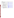| <b>Document</b> |                                                                                                          |                                                          |
|-----------------|----------------------------------------------------------------------------------------------------------|----------------------------------------------------------|
| <b>Number</b>   | <b>Document Name</b>                                                                                     | <b>URL</b>                                               |
| 8570-28         | Certification of Compliance with Data<br><b>Gap Procedures</b>                                           | http://www.epa.gov/opprd001/forms/8570-<br>28.pdf        |
| 8570-30         | Pesticide Registration Maintenance Fee<br>Filing                                                         | http://www.epa.gov/opprd001/forms/8570-<br>30.pdf        |
| 8570-32         | Certification of Attempt to Enter into an<br>Agreement with other Registrants for<br>Development of Data | http://www.epa.gov/opprd001/forms/8570-<br>32.pdf        |
| 8570-34         | Certification with Respect to Citations of<br>Data (in PR Notice 98-5)                                   | http://www.epa.gov/opppmsd1/PR_Notices<br>$\pi$ 98-5.pdf |
| 8570-35         | Data Matrix (in PR Notice 98-5)                                                                          | http://www.epa.gov/opppmsd1/PR_Notices<br>$/pr98-5.pdf$  |
| 8570-36         | Summary of the Physical/Chemical<br>Properties (in PR Notice 98-1)                                       | http://www.epa.gov/opppmsd1/PR_Notices<br>$/pr98-1.pdf$  |
| 8570-37         | Self-Certification Statement for the<br>Physical/Chemical Properties (in PR)<br>Notice 98-1)             | http://www.epa.gov/opppmsd1/PR_Notices<br>$\pi$ 98-1.pdf |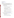[www.epa.gov/pesticides/registrationkit/](http://www.epa.gov/).

Dear Registrant:

 For your convenience, we have assembled an online registration kit that contains the following pertinent forms and information needed to register a pesticide product with the U.S. Environmental Protection Agency's Office of Pesticide Programs (OPP):

- 1. The Federal Insecticide, Fungicide, and Rodenticide Act (FIFRA) and the Federal Food, Drug and Cosmetic Act (FFDCA) as Amended by the Food Quality Protection Act (FQPA) of 1996.
- 2. Pesticide Registration (PR) Notices
	- a. 83-3 Label Improvement Program—Storage and Disposal Statements
	- b. 84-1 Clarification of Label Improvement Program
	- c. 86-5 Standard Format for Data Submitted under FIFRA
	- d. 87-1 Label Improvement Program for Pesticides Applied through Irrigation Systems (Chemigation)
	- e. 87-6 Inert Ingredients in Pesticide Products Policy Statement
	- f. 90-1 Inert Ingredients in Pesticide Products; Revised Policy Statement
	- g. 95-2 Notifications, Non-notifications, and Minor Formulation Amendments
	- h. 98-1 Self Certification of Product Chemistry Data with Attachments (This document is in PDF format and requires the Acrobat reader.)

Other PR Notices can be found at [http://www.epa.gov/opppmsd1/PR\\_Notices.](http://www.epa.gov/opppmsd1/PR_Notices)

- 3. Pesticide Product Registration Application Forms (These forms are in PDF format and will require the Acrobat reader.)
	- a. EPA Form No. 8570-1, Application for Pesticide Registration/Amendment
	- b. EPA Form No. 8570-4, Confidential Statement of Formula
	- c. EPA Form No. 8570-27, Formulator's Exemption Statement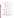- d. EPA Form No. 8570-34, Certification with Respect to Citations of Data
- e. EPA Form No. 8570-35, Data Matrix
- 4. General Pesticide Information (Some of these forms are in PDF format and will require the Acrobat reader.)
	- a. Registration Division Personnel Contact List
	- b. Biopesticides and Pollution Prevention Division (BPPD) Contacts
	- c. Antimicrobials Division Organizational Structure/Contact List
	- d. 53 F.R. 15952, Pesticide Registration Procedures; Pesticide Data Requirements (PDF format)
	- e. 40 CFR Part 156, Labeling Requirements for Pesticides and Devices (PDF format)
	- f. 40 CFR Part 158, Data Requirements for Registration (PDF format)
	- g. 50 F.R. 48833, Disclosure of Reviews of Pesticide Data (November 27, 1985)

Before submitting your application for registration, you may wish to consult some additional sources of information. These include:

- 1. The Office of Pesticide Programs' Web Site
- 2. The booklet "General Information on Applying for Registration of Pesticides in the United States", PB92-221811, available through the National Technical Information Service (NTIS) at the following address:

 National Technical Information Service (NTIS) 5285 Port Royal Road Springfield, VA 22161

The telephone number for NTIS is (703) 605-6000. Please note that EPA is currently in the process of updating this booklet to reflect the changes in the registration program resulting from the passage of the FQPA and the reorganization of the Office of Pesticide Programs. We anticipate that this publication will become available during the Fall of 1998.

3. The National Pesticide Information Retrieval System (NPIRS) of Purdue University's Center for Environmental and Regulatory Information Systems. This